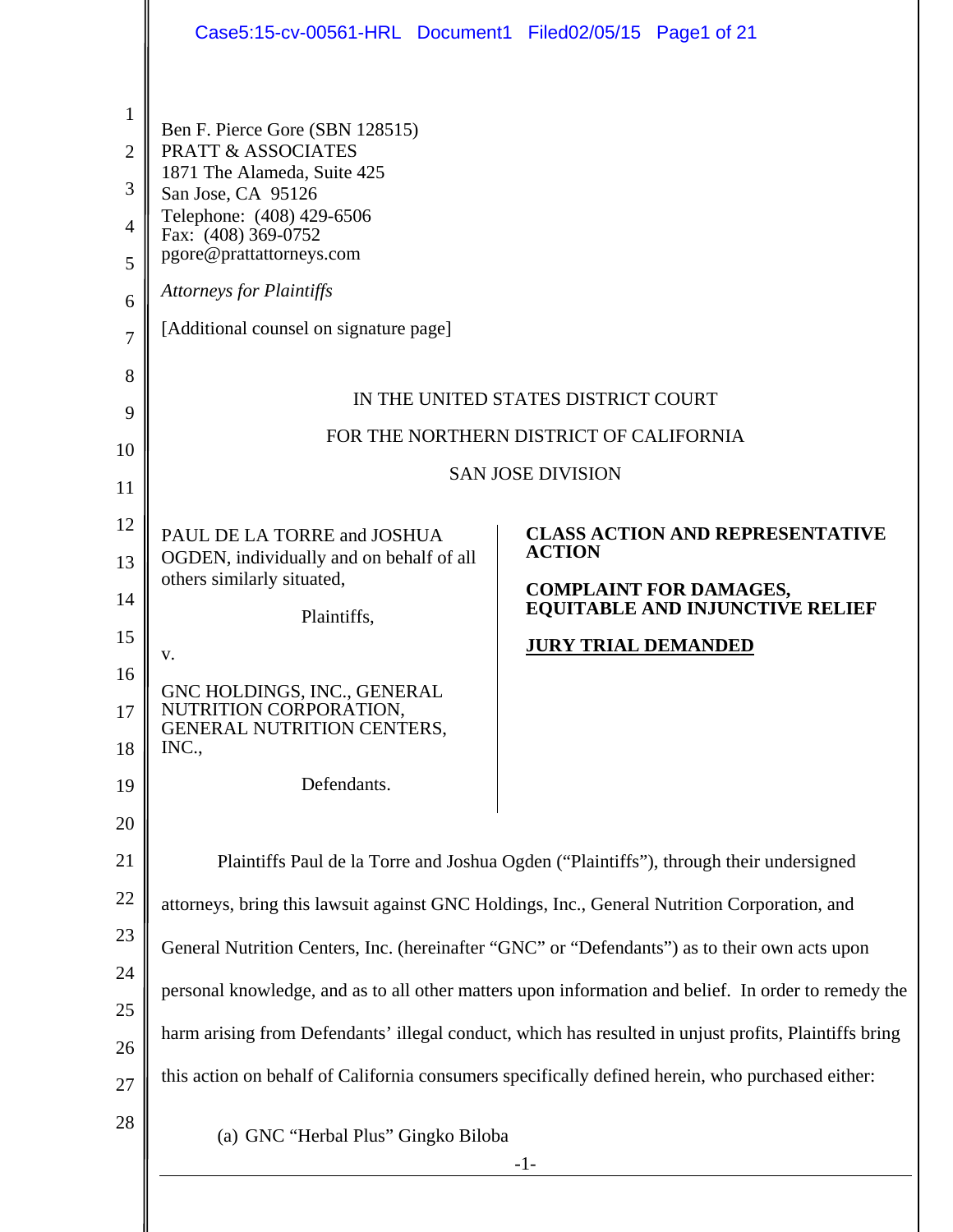| $\mathbf{1}$<br>Ben F. Pierce Gore (SBN 128515)<br><b>PRATT &amp; ASSOCIATES</b><br>$\overline{2}$<br>1871 The Alameda, Suite 425<br>3<br>San Jose, CA 95126<br>Telephone: (408) 429-6506<br>$\overline{4}$<br>Fax: (408) 369-0752<br>pgore@prattattorneys.com<br>5<br><b>Attorneys for Plaintiffs</b><br>6<br>[Additional counsel on signature page]<br>7<br>8<br>IN THE UNITED STATES DISTRICT COURT<br>FOR THE NORTHERN DISTRICT OF CALIFORNIA<br><b>SAN JOSE DIVISION</b><br><b>CLASS ACTION AND REPRESENTATIVE</b><br>PAUL DE LA TORRE and JOSHUA<br><b>ACTION</b><br>OGDEN, individually and on behalf of all<br>others similarly situated,<br><b>COMPLAINT FOR DAMAGES,</b><br><b>EQUITABLE AND INJUNCTIVE RELIEF</b><br>Plaintiffs,<br><b>JURY TRIAL DEMANDED</b><br>v.<br>GNC HOLDINGS, INC., GENERAL<br>NUTRITION CORPORATION,<br><b>GENERAL NUTRITION CENTERS,</b><br>INC.,<br>Defendants.<br>Plaintiffs Paul de la Torre and Joshua Ogden ("Plaintiffs"), through their undersigned<br>attorneys, bring this lawsuit against GNC Holdings, Inc., General Nutrition Corporation, and<br>General Nutrition Centers, Inc. (hereinafter "GNC" or "Defendants") as to their own acts upon<br>personal knowledge, and as to all other matters upon information and belief. In order to remedy the<br>harm arising from Defendants' illegal conduct, which has resulted in unjust profits, Plaintiffs bring<br>this action on behalf of California consumers specifically defined herein, who purchased either:<br>(a) GNC "Herbal Plus" Gingko Biloba<br>$-1-$ |                                                    | Case5:15-cv-00561-HRL Document1 Filed02/05/15 Page1 of 21 |  |
|----------------------------------------------------------------------------------------------------------------------------------------------------------------------------------------------------------------------------------------------------------------------------------------------------------------------------------------------------------------------------------------------------------------------------------------------------------------------------------------------------------------------------------------------------------------------------------------------------------------------------------------------------------------------------------------------------------------------------------------------------------------------------------------------------------------------------------------------------------------------------------------------------------------------------------------------------------------------------------------------------------------------------------------------------------------------------------------------------------------------------------------------------------------------------------------------------------------------------------------------------------------------------------------------------------------------------------------------------------------------------------------------------------------------------------------------------------------------------------------------------------------------------------------------------------------------|----------------------------------------------------|-----------------------------------------------------------|--|
|                                                                                                                                                                                                                                                                                                                                                                                                                                                                                                                                                                                                                                                                                                                                                                                                                                                                                                                                                                                                                                                                                                                                                                                                                                                                                                                                                                                                                                                                                                                                                                      | 9<br>10                                            |                                                           |  |
| 20<br>21<br>22<br>23<br>24<br>25<br>26<br>27<br>28                                                                                                                                                                                                                                                                                                                                                                                                                                                                                                                                                                                                                                                                                                                                                                                                                                                                                                                                                                                                                                                                                                                                                                                                                                                                                                                                                                                                                                                                                                                   | 11<br>12<br>13<br>14<br>15<br>16<br>17<br>18<br>19 |                                                           |  |
|                                                                                                                                                                                                                                                                                                                                                                                                                                                                                                                                                                                                                                                                                                                                                                                                                                                                                                                                                                                                                                                                                                                                                                                                                                                                                                                                                                                                                                                                                                                                                                      |                                                    |                                                           |  |
|                                                                                                                                                                                                                                                                                                                                                                                                                                                                                                                                                                                                                                                                                                                                                                                                                                                                                                                                                                                                                                                                                                                                                                                                                                                                                                                                                                                                                                                                                                                                                                      |                                                    |                                                           |  |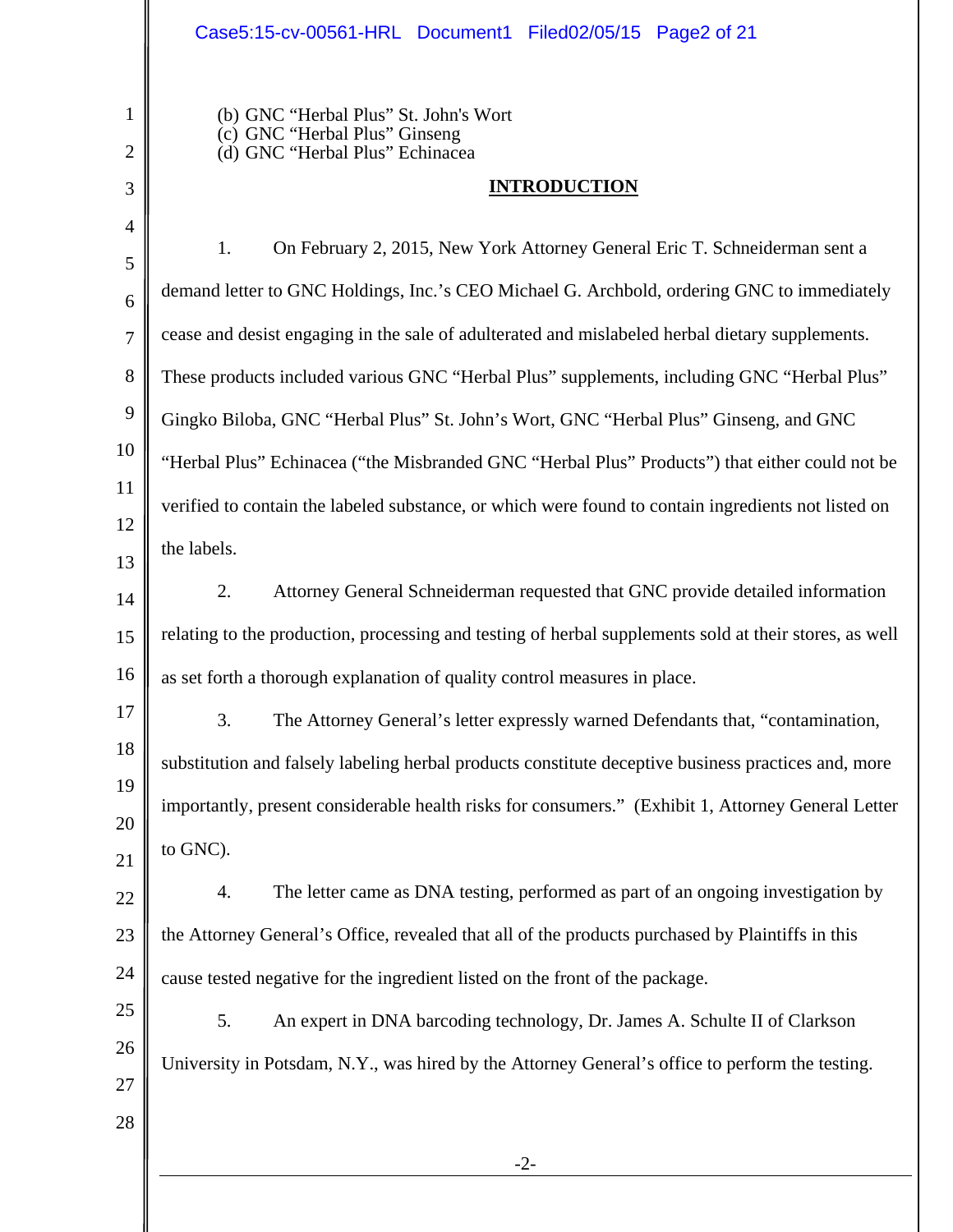### Case5:15-cv-00561-HRL Document1 Filed02/05/15 Page2 of 21

| $\mathbf{1}$<br>$\overline{2}$ | (b) GNC "Herbal Plus" St. John's Wort<br>(c) GNC "Herbal Plus" Ginseng<br>(d) GNC "Herbal Plus" Echinacea |  |  |
|--------------------------------|-----------------------------------------------------------------------------------------------------------|--|--|
| 3                              | <b>INTRODUCTION</b>                                                                                       |  |  |
| $\overline{4}$                 |                                                                                                           |  |  |
| 5                              | 1.<br>On February 2, 2015, New York Attorney General Eric T. Schneiderman sent a                          |  |  |
| 6                              | demand letter to GNC Holdings, Inc.'s CEO Michael G. Archbold, ordering GNC to immediately                |  |  |
| 7                              | cease and desist engaging in the sale of adulterated and mislabeled herbal dietary supplements.           |  |  |
| 8                              | These products included various GNC "Herbal Plus" supplements, including GNC "Herbal Plus"                |  |  |
| $\boldsymbol{9}$               | Gingko Biloba, GNC "Herbal Plus" St. John's Wort, GNC "Herbal Plus" Ginseng, and GNC                      |  |  |
| 10                             | "Herbal Plus" Echinacea ("the Misbranded GNC "Herbal Plus" Products") that either could not be            |  |  |
| 11                             | verified to contain the labeled substance, or which were found to contain ingredients not listed on       |  |  |
| 12<br>13                       | the labels.                                                                                               |  |  |
| 14                             | 2.<br>Attorney General Schneiderman requested that GNC provide detailed information                       |  |  |
| 15                             | relating to the production, processing and testing of herbal supplements sold at their stores, as well    |  |  |
| 16                             | as set forth a thorough explanation of quality control measures in place.                                 |  |  |
| 17                             | 3.<br>The Attorney General's letter expressly warned Defendants that, "contamination,                     |  |  |
| 18                             | substitution and falsely labeling herbal products constitute deceptive business practices and, more       |  |  |
| 19                             | importantly, present considerable health risks for consumers." (Exhibit 1, Attorney General Letter        |  |  |
| 20                             |                                                                                                           |  |  |
| 21                             | to GNC).                                                                                                  |  |  |
| 22                             | The letter came as DNA testing, performed as part of an ongoing investigation by<br>4.                    |  |  |
| 23                             | the Attorney General's Office, revealed that all of the products purchased by Plaintiffs in this          |  |  |
| 24                             | cause tested negative for the ingredient listed on the front of the package.                              |  |  |
| 25                             | 5.<br>An expert in DNA barcoding technology, Dr. James A. Schulte II of Clarkson                          |  |  |
| 26                             | University in Potsdam, N.Y., was hired by the Attorney General's office to perform the testing.           |  |  |
| 27                             |                                                                                                           |  |  |
| 28                             |                                                                                                           |  |  |
|                                | $-2-$                                                                                                     |  |  |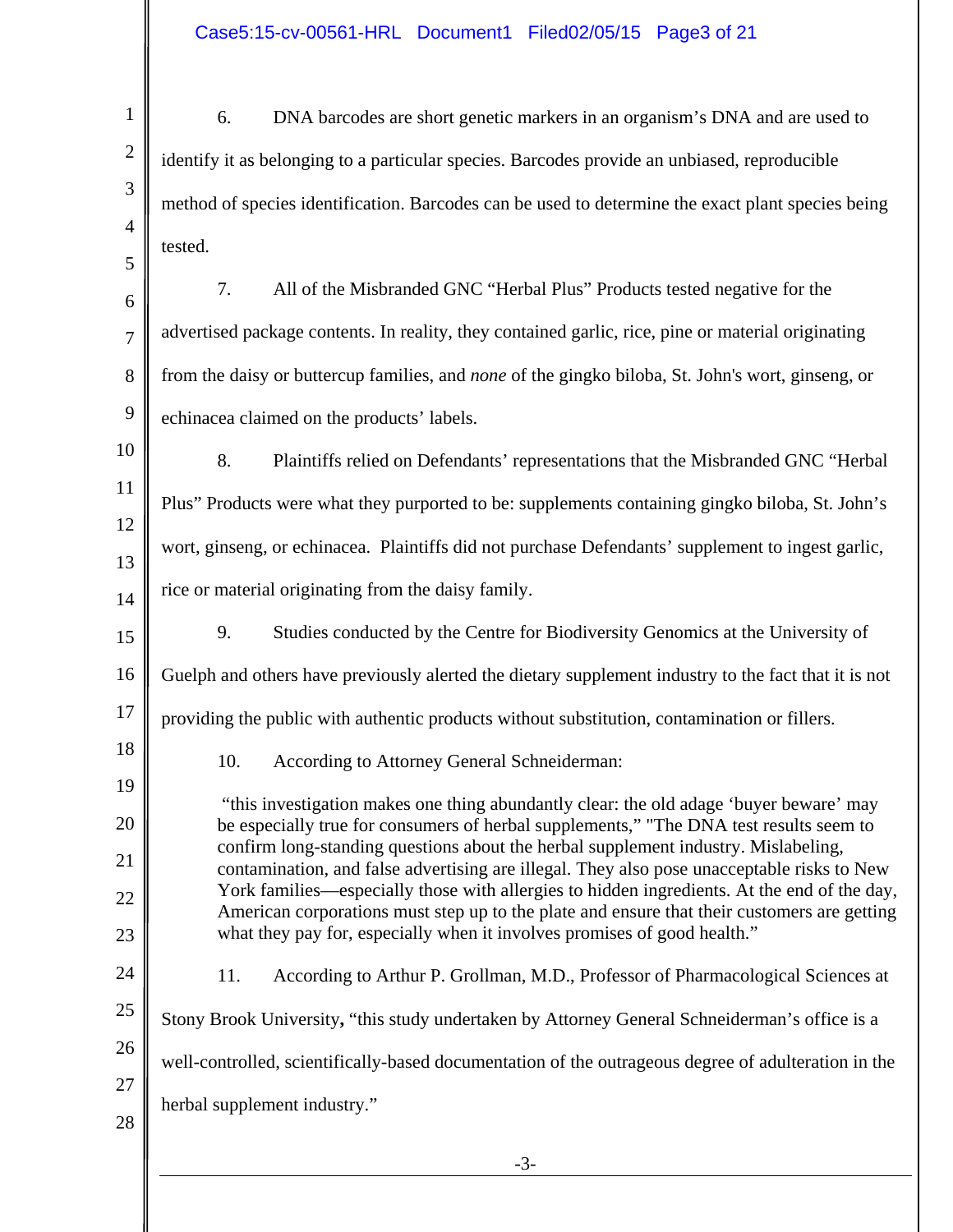|                | Case5:15-cv-00561-HRL Document1 Filed02/05/15 Page3 of 21                                                                                                                                 |
|----------------|-------------------------------------------------------------------------------------------------------------------------------------------------------------------------------------------|
| $\mathbf{1}$   | 6.<br>DNA barcodes are short genetic markers in an organism's DNA and are used to                                                                                                         |
| $\mathbf{2}$   | identify it as belonging to a particular species. Barcodes provide an unbiased, reproducible                                                                                              |
| 3              | method of species identification. Barcodes can be used to determine the exact plant species being                                                                                         |
| $\overline{4}$ | tested.                                                                                                                                                                                   |
| 5<br>6         | 7.<br>All of the Misbranded GNC "Herbal Plus" Products tested negative for the                                                                                                            |
| $\overline{7}$ | advertised package contents. In reality, they contained garlic, rice, pine or material originating                                                                                        |
| 8              | from the daisy or buttercup families, and none of the gingko biloba, St. John's wort, ginseng, or                                                                                         |
| 9              | echinacea claimed on the products' labels.                                                                                                                                                |
| 10             | 8.<br>Plaintiffs relied on Defendants' representations that the Misbranded GNC "Herbal                                                                                                    |
| 11             | Plus" Products were what they purported to be: supplements containing gingko biloba, St. John's                                                                                           |
| 12             | wort, ginseng, or echinacea. Plaintiffs did not purchase Defendants' supplement to ingest garlic,                                                                                         |
| 13<br>14       | rice or material originating from the daisy family.                                                                                                                                       |
| 15             | 9.<br>Studies conducted by the Centre for Biodiversity Genomics at the University of                                                                                                      |
| 16             | Guelph and others have previously alerted the dietary supplement industry to the fact that it is not                                                                                      |
| $17\,$         | providing the public with authentic products without substitution, contamination or fillers.                                                                                              |
| 18             | 10.<br>According to Attorney General Schneiderman:                                                                                                                                        |
| 19             | "this investigation makes one thing abundantly clear: the old adage 'buyer beware' may                                                                                                    |
| 20             | be especially true for consumers of herbal supplements," "The DNA test results seem to<br>confirm long-standing questions about the herbal supplement industry. Mislabeling,              |
| 21<br>22       | contamination, and false advertising are illegal. They also pose unacceptable risks to New<br>York families—especially those with allergies to hidden ingredients. At the end of the day, |
| 23             | American corporations must step up to the plate and ensure that their customers are getting<br>what they pay for, especially when it involves promises of good health."                   |
| 24             | 11.<br>According to Arthur P. Grollman, M.D., Professor of Pharmacological Sciences at                                                                                                    |
| 25             | Stony Brook University, "this study undertaken by Attorney General Schneiderman's office is a                                                                                             |
| 26             | well-controlled, scientifically-based documentation of the outrageous degree of adulteration in the                                                                                       |
| 27             | herbal supplement industry."                                                                                                                                                              |
| 28             |                                                                                                                                                                                           |
|                |                                                                                                                                                                                           |

# Case5:15-cv-00561-HRL Document1 Filed02/05/15 Page3 of 21

-3-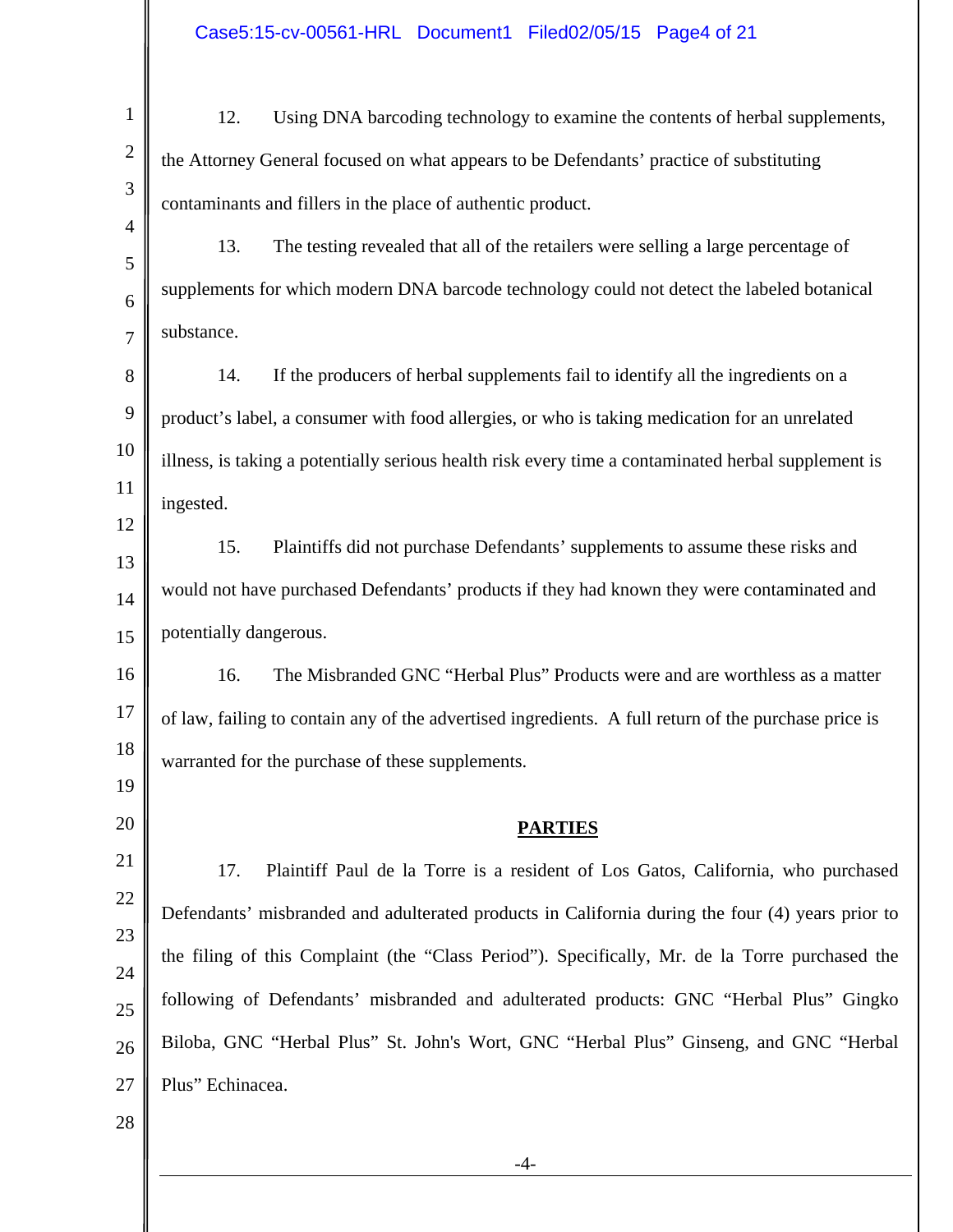| $\mathbf{1}$        | 12.<br>Using DNA barcoding technology to examine the contents of herbal supplements,                 |  |  |
|---------------------|------------------------------------------------------------------------------------------------------|--|--|
| $\overline{2}$      | the Attorney General focused on what appears to be Defendants' practice of substituting              |  |  |
| 3                   | contaminants and fillers in the place of authentic product.                                          |  |  |
| $\overline{4}$<br>5 | 13.<br>The testing revealed that all of the retailers were selling a large percentage of             |  |  |
| 6                   | supplements for which modern DNA barcode technology could not detect the labeled botanical           |  |  |
| $\overline{7}$      | substance.                                                                                           |  |  |
| 8                   | 14.<br>If the producers of herbal supplements fail to identify all the ingredients on a              |  |  |
| 9                   | product's label, a consumer with food allergies, or who is taking medication for an unrelated        |  |  |
| 10                  | illness, is taking a potentially serious health risk every time a contaminated herbal supplement is  |  |  |
| 11                  | ingested.                                                                                            |  |  |
| 12<br>13            | 15.<br>Plaintiffs did not purchase Defendants' supplements to assume these risks and                 |  |  |
| 14                  | would not have purchased Defendants' products if they had known they were contaminated and           |  |  |
| 15                  | potentially dangerous.                                                                               |  |  |
| 16                  | 16.<br>The Misbranded GNC "Herbal Plus" Products were and are worthless as a matter                  |  |  |
| 17                  | of law, failing to contain any of the advertised ingredients. A full return of the purchase price is |  |  |
| 18                  | warranted for the purchase of these supplements.                                                     |  |  |
| 19                  |                                                                                                      |  |  |
| 20                  | <b>PARTIES</b>                                                                                       |  |  |
| 21                  | 17.<br>Plaintiff Paul de la Torre is a resident of Los Gatos, California, who purchased              |  |  |
| 22<br>23            | Defendants' misbranded and adulterated products in California during the four (4) years prior to     |  |  |
| 24                  | the filing of this Complaint (the "Class Period"). Specifically, Mr. de la Torre purchased the       |  |  |
| 25                  | following of Defendants' misbranded and adulterated products: GNC "Herbal Plus" Gingko               |  |  |
| 26                  | Biloba, GNC "Herbal Plus" St. John's Wort, GNC "Herbal Plus" Ginseng, and GNC "Herbal                |  |  |
| 27                  | Plus" Echinacea.                                                                                     |  |  |
| 28                  |                                                                                                      |  |  |

-4-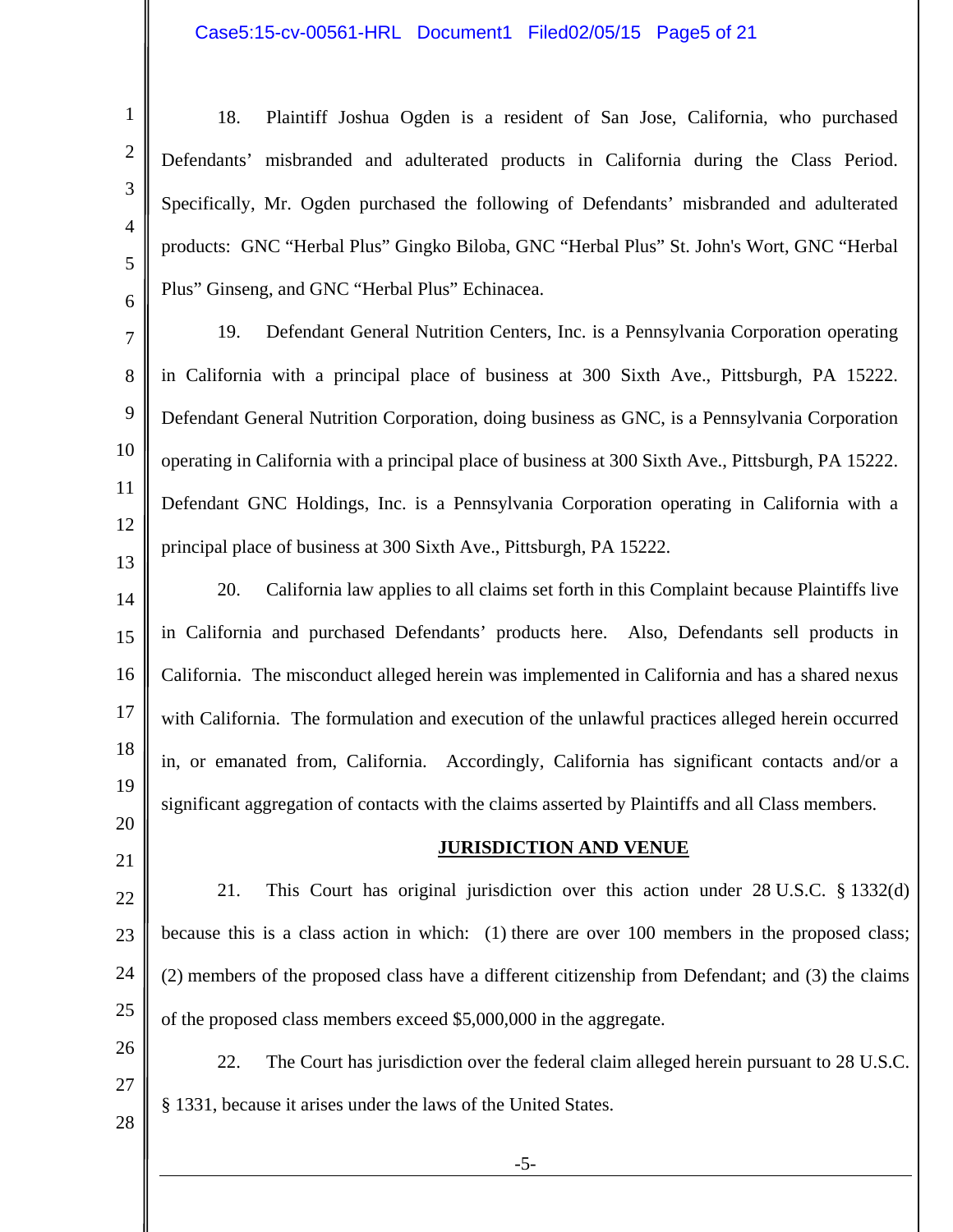#### Case5:15-cv-00561-HRL Document1 Filed02/05/15 Page5 of 21

-5- 1 2 3 4 5 6 7 8 9 10 11 12 13 14 15 16 17 18 19 20 21 22 23 24 25 26 27 28 18. Plaintiff Joshua Ogden is a resident of San Jose, California, who purchased Defendants' misbranded and adulterated products in California during the Class Period. Specifically, Mr. Ogden purchased the following of Defendants' misbranded and adulterated products: GNC "Herbal Plus" Gingko Biloba, GNC "Herbal Plus" St. John's Wort, GNC "Herbal Plus" Ginseng, and GNC "Herbal Plus" Echinacea. 19. Defendant General Nutrition Centers, Inc. is a Pennsylvania Corporation operating in California with a principal place of business at 300 Sixth Ave., Pittsburgh, PA 15222. Defendant General Nutrition Corporation, doing business as GNC, is a Pennsylvania Corporation operating in California with a principal place of business at 300 Sixth Ave., Pittsburgh, PA 15222. Defendant GNC Holdings, Inc. is a Pennsylvania Corporation operating in California with a principal place of business at 300 Sixth Ave., Pittsburgh, PA 15222. 20. California law applies to all claims set forth in this Complaint because Plaintiffs live in California and purchased Defendants' products here. Also, Defendants sell products in California. The misconduct alleged herein was implemented in California and has a shared nexus with California. The formulation and execution of the unlawful practices alleged herein occurred in, or emanated from, California. Accordingly, California has significant contacts and/or a significant aggregation of contacts with the claims asserted by Plaintiffs and all Class members. **JURISDICTION AND VENUE**  21. This Court has original jurisdiction over this action under 28 U.S.C. § 1332(d) because this is a class action in which: (1) there are over 100 members in the proposed class; (2) members of the proposed class have a different citizenship from Defendant; and (3) the claims of the proposed class members exceed \$5,000,000 in the aggregate. 22. The Court has jurisdiction over the federal claim alleged herein pursuant to 28 U.S.C. § 1331, because it arises under the laws of the United States.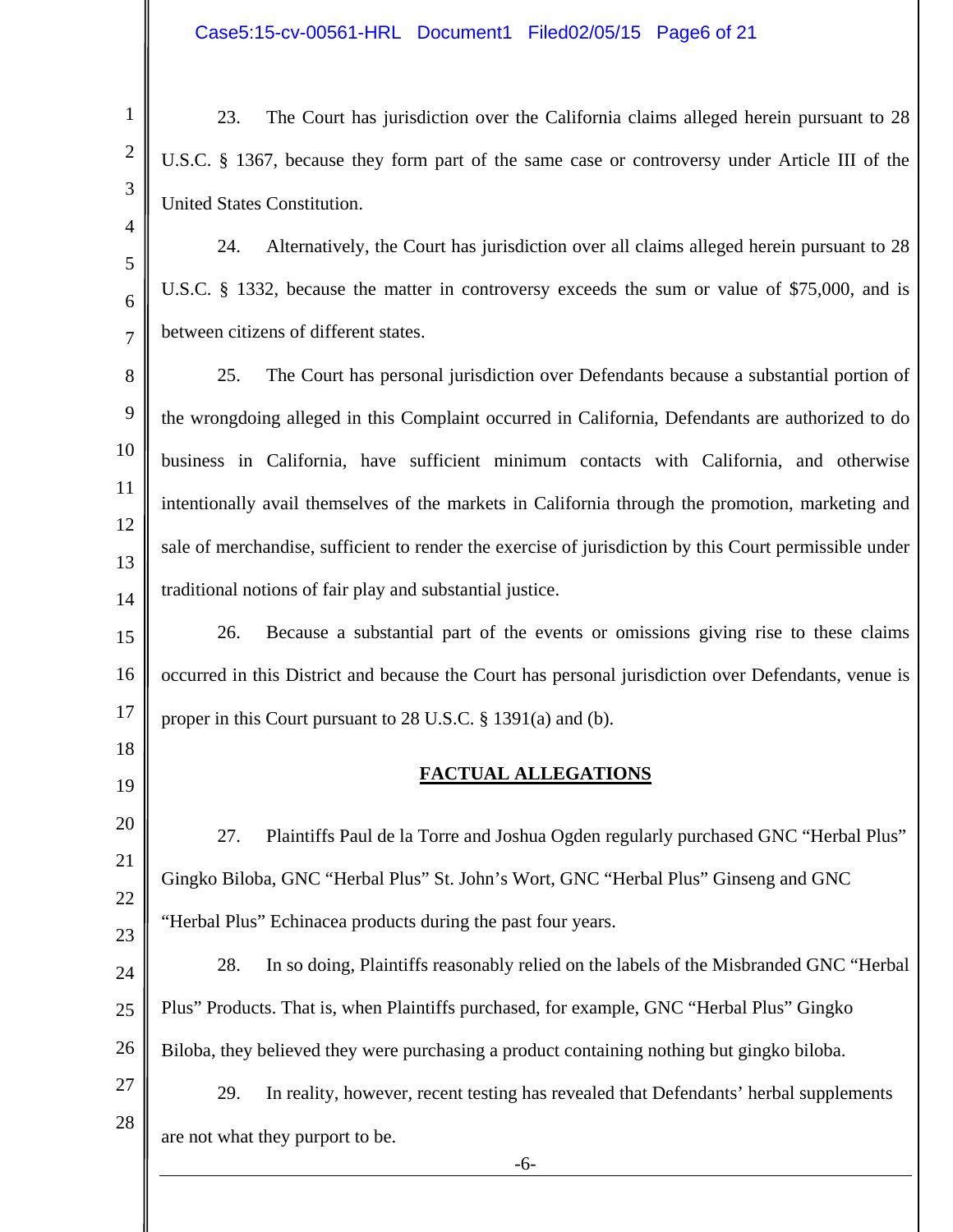1

2

3

4

5

6

7

18

19

23. The Court has jurisdiction over the California claims alleged herein pursuant to 28 U.S.C. § 1367, because they form part of the same case or controversy under Article III of the United States Constitution.

24. Alternatively, the Court has jurisdiction over all claims alleged herein pursuant to 28 U.S.C. § 1332, because the matter in controversy exceeds the sum or value of \$75,000, and is between citizens of different states.

8 9 10 11 12 13 14 25. The Court has personal jurisdiction over Defendants because a substantial portion of the wrongdoing alleged in this Complaint occurred in California, Defendants are authorized to do business in California, have sufficient minimum contacts with California, and otherwise intentionally avail themselves of the markets in California through the promotion, marketing and sale of merchandise, sufficient to render the exercise of jurisdiction by this Court permissible under traditional notions of fair play and substantial justice.

15 16 17 26. Because a substantial part of the events or omissions giving rise to these claims occurred in this District and because the Court has personal jurisdiction over Defendants, venue is proper in this Court pursuant to 28 U.S.C. § 1391(a) and (b).

### **FACTUAL ALLEGATIONS**

20 21 22 23 27. Plaintiffs Paul de la Torre and Joshua Ogden regularly purchased GNC "Herbal Plus" Gingko Biloba, GNC "Herbal Plus" St. John's Wort, GNC "Herbal Plus" Ginseng and GNC "Herbal Plus" Echinacea products during the past four years.

24 25 26 28. In so doing, Plaintiffs reasonably relied on the labels of the Misbranded GNC "Herbal Plus" Products. That is, when Plaintiffs purchased, for example, GNC "Herbal Plus" Gingko Biloba, they believed they were purchasing a product containing nothing but gingko biloba.

27 28 29. In reality, however, recent testing has revealed that Defendants' herbal supplements are not what they purport to be.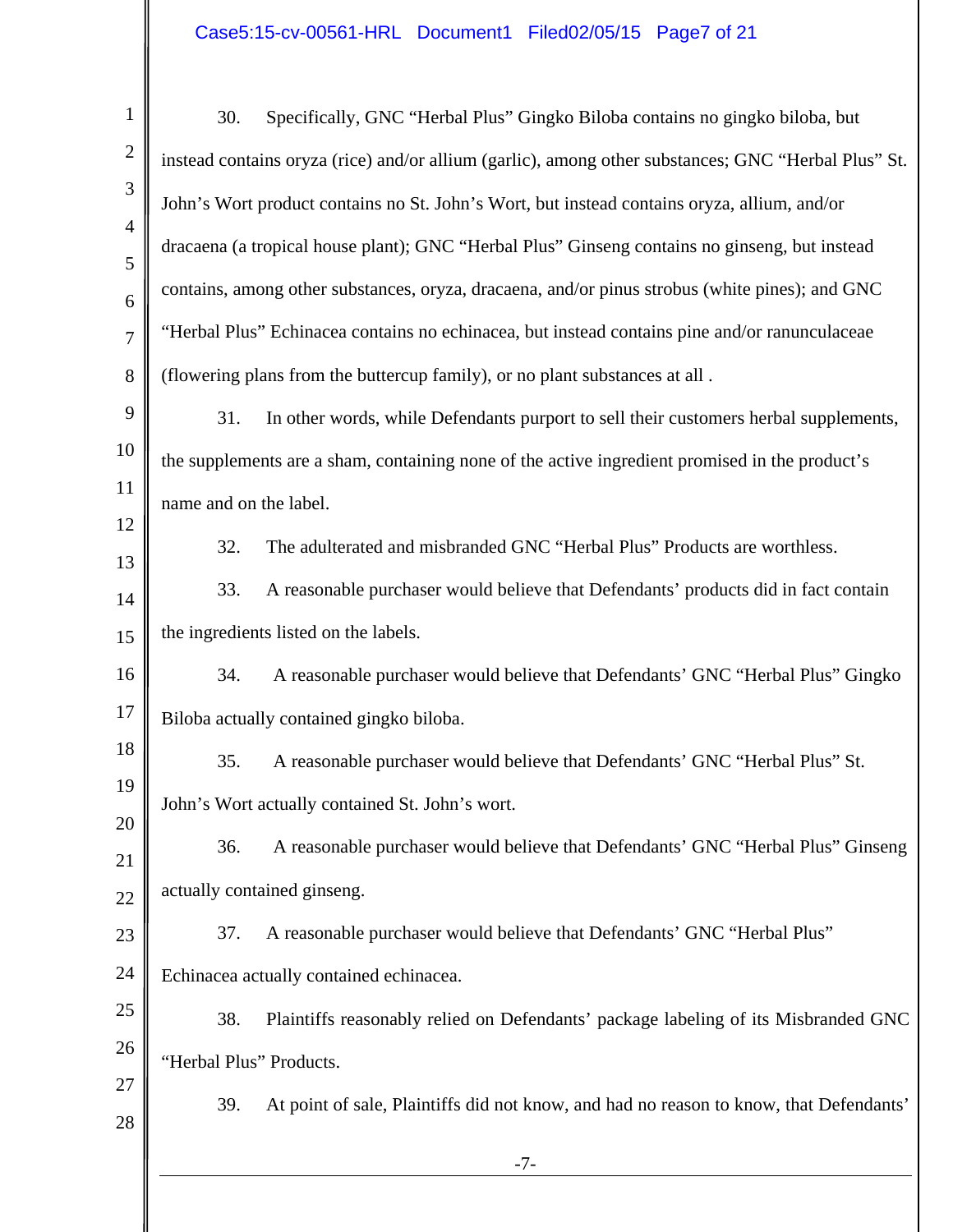### Case5:15-cv-00561-HRL Document1 Filed02/05/15 Page7 of 21

| 1                   | 30.                     | Specifically, GNC "Herbal Plus" Gingko Biloba contains no gingko biloba, but                        |
|---------------------|-------------------------|-----------------------------------------------------------------------------------------------------|
| $\overline{2}$      |                         | instead contains oryza (rice) and/or allium (garlic), among other substances; GNC "Herbal Plus" St. |
| 3                   |                         | John's Wort product contains no St. John's Wort, but instead contains oryza, allium, and/or         |
| $\overline{4}$<br>5 |                         | dracaena (a tropical house plant); GNC "Herbal Plus" Ginseng contains no ginseng, but instead       |
| 6                   |                         | contains, among other substances, oryza, dracaena, and/or pinus strobus (white pines); and GNC      |
| 7                   |                         | "Herbal Plus" Echinacea contains no echinacea, but instead contains pine and/or ranunculaceae       |
| 8                   |                         | (flowering plans from the buttercup family), or no plant substances at all.                         |
| 9                   | 31.                     | In other words, while Defendants purport to sell their customers herbal supplements,                |
| 10                  |                         | the supplements are a sham, containing none of the active ingredient promised in the product's      |
| 11<br>12            | name and on the label.  |                                                                                                     |
| 13                  | 32.                     | The adulterated and misbranded GNC "Herbal Plus" Products are worthless.                            |
| 14                  | 33.                     | A reasonable purchaser would believe that Defendants' products did in fact contain                  |
| 15                  |                         | the ingredients listed on the labels.                                                               |
| 16                  | 34.                     | A reasonable purchaser would believe that Defendants' GNC "Herbal Plus" Gingko                      |
| 17                  |                         | Biloba actually contained gingko biloba.                                                            |
| 18                  | 35.                     | A reasonable purchaser would believe that Defendants' GNC "Herbal Plus" St.                         |
| 19<br>20            |                         | John's Wort actually contained St. John's wort.                                                     |
| 21                  | 36.                     | A reasonable purchaser would believe that Defendants' GNC "Herbal Plus" Ginseng                     |
| 22                  |                         | actually contained ginseng.                                                                         |
| 23                  | 37.                     | A reasonable purchaser would believe that Defendants' GNC "Herbal Plus"                             |
| 24                  |                         | Echinacea actually contained echinacea.                                                             |
| 25                  | 38.                     | Plaintiffs reasonably relied on Defendants' package labeling of its Misbranded GNC                  |
| 26                  | "Herbal Plus" Products. |                                                                                                     |
| 27<br>28            | 39.                     | At point of sale, Plaintiffs did not know, and had no reason to know, that Defendants'              |
|                     |                         | $-7-$                                                                                               |
|                     |                         |                                                                                                     |

║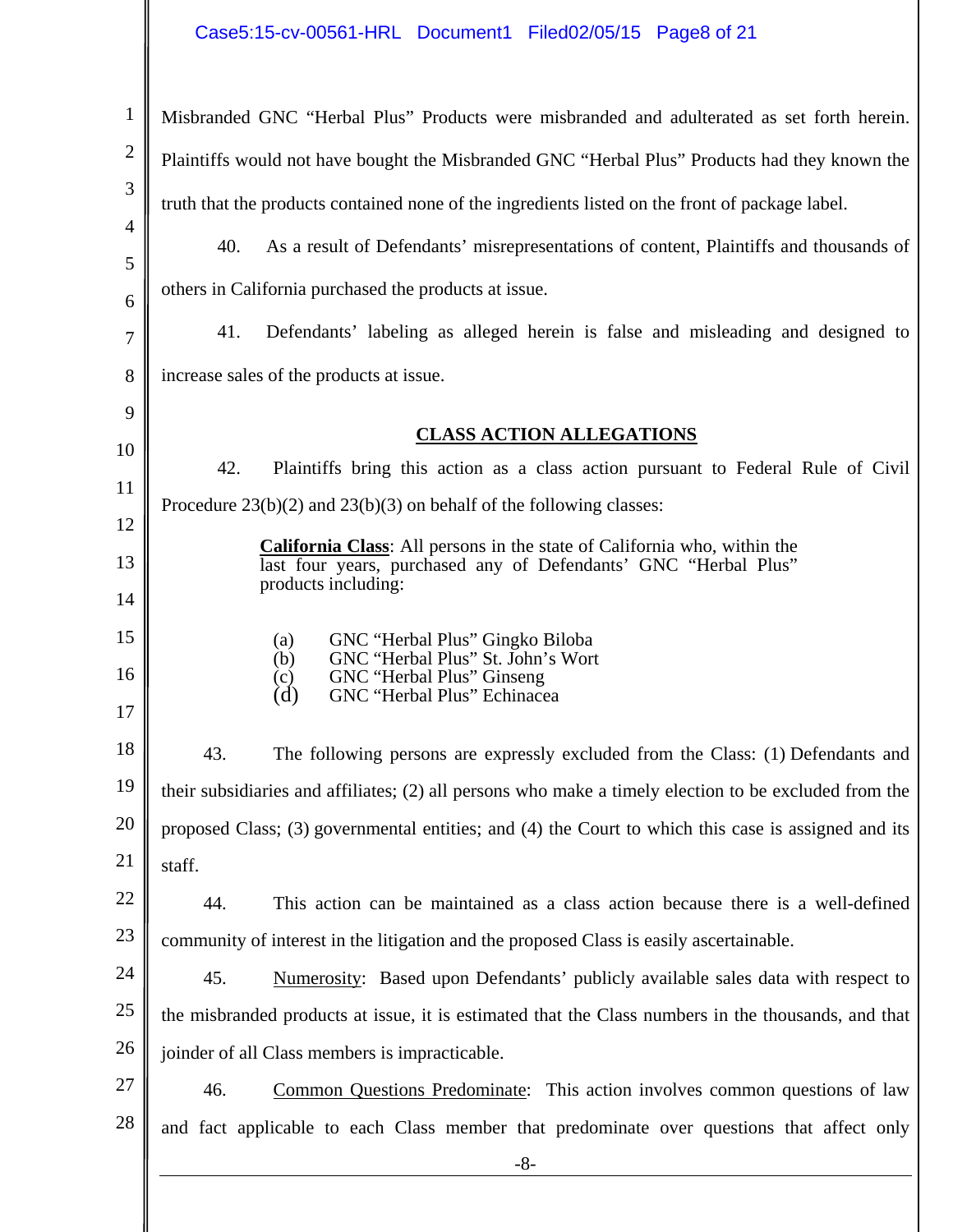| $\mathbf{1}$   | Misbranded GNC "Herbal Plus" Products were misbranded and adulterated as set forth herein.            |
|----------------|-------------------------------------------------------------------------------------------------------|
| $\overline{2}$ | Plaintiffs would not have bought the Misbranded GNC "Herbal Plus" Products had they known the         |
| 3              | truth that the products contained none of the ingredients listed on the front of package label.       |
| $\overline{4}$ | 40.<br>As a result of Defendants' misrepresentations of content, Plaintiffs and thousands of          |
| 5              | others in California purchased the products at issue.                                                 |
| 6<br>7         | 41.<br>Defendants' labeling as alleged herein is false and misleading and designed to                 |
| 8              | increase sales of the products at issue.                                                              |
| 9              |                                                                                                       |
| 10             | <b>CLASS ACTION ALLEGATIONS</b>                                                                       |
|                | 42.<br>Plaintiffs bring this action as a class action pursuant to Federal Rule of Civil               |
| 11<br>12       | Procedure $23(b)(2)$ and $23(b)(3)$ on behalf of the following classes:                               |
| 13             | <b>California Class:</b> All persons in the state of California who, within the                       |
| 14             | last four years, purchased any of Defendants' GNC "Herbal Plus"<br>products including:                |
| 15             | GNC "Herbal Plus" Gingko Biloba<br>(a)                                                                |
| 16             | GNC "Herbal Plus" St. John's Wort<br>(b)<br>GNC "Herbal Plus" Ginseng<br>(c)                          |
| 17             | GNC "Herbal Plus" Echinacea<br>(d)                                                                    |
| 18             | 43.<br>The following persons are expressly excluded from the Class: (1) Defendants and                |
| 19             | their subsidiaries and affiliates; (2) all persons who make a timely election to be excluded from the |
| 20             | proposed Class; (3) governmental entities; and (4) the Court to which this case is assigned and its   |
| 21             | staff.                                                                                                |
| 22             | 44.<br>This action can be maintained as a class action because there is a well-defined                |
| 23             | community of interest in the litigation and the proposed Class is easily ascertainable.               |
| 24             | 45.<br>Numerosity: Based upon Defendants' publicly available sales data with respect to               |
| 25             | the misbranded products at issue, it is estimated that the Class numbers in the thousands, and that   |
| 26             | joinder of all Class members is impracticable.                                                        |
| 27             | 46.<br><b>Common Questions Predominate:</b> This action involves common questions of law              |
| 28             | and fact applicable to each Class member that predominate over questions that affect only             |
|                | $-8-$                                                                                                 |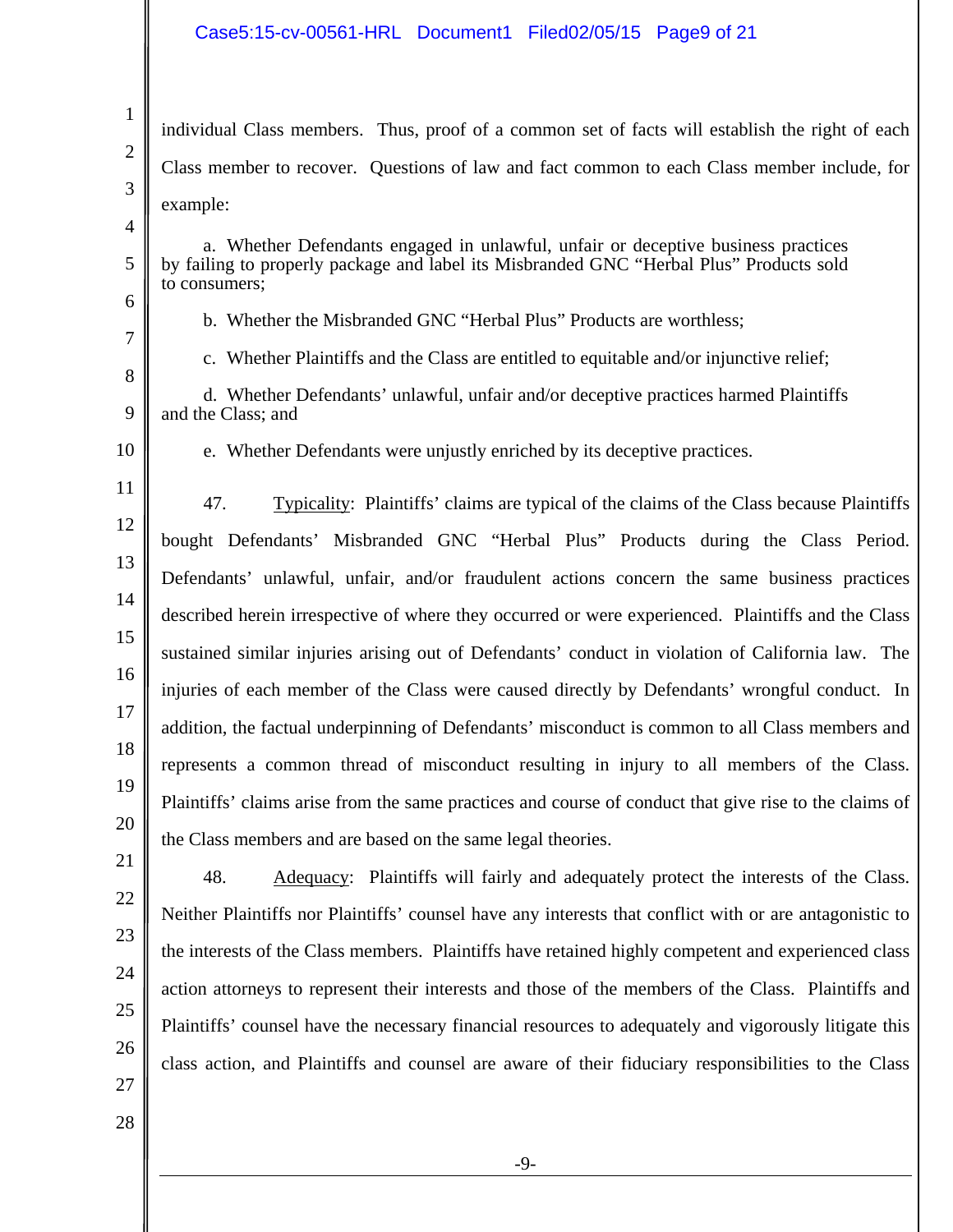1 2 3 4 5 6 7 8 9 10 11 12 13 14 15 16 17 18 19 20 21 22 23 24 25 26 individual Class members. Thus, proof of a common set of facts will establish the right of each Class member to recover. Questions of law and fact common to each Class member include, for example: a. Whether Defendants engaged in unlawful, unfair or deceptive business practices by failing to properly package and label its Misbranded GNC "Herbal Plus" Products sold to consumers; b. Whether the Misbranded GNC "Herbal Plus" Products are worthless; c. Whether Plaintiffs and the Class are entitled to equitable and/or injunctive relief; d. Whether Defendants' unlawful, unfair and/or deceptive practices harmed Plaintiffs and the Class; and e. Whether Defendants were unjustly enriched by its deceptive practices. 47. Typicality: Plaintiffs' claims are typical of the claims of the Class because Plaintiffs bought Defendants' Misbranded GNC "Herbal Plus" Products during the Class Period. Defendants' unlawful, unfair, and/or fraudulent actions concern the same business practices described herein irrespective of where they occurred or were experienced. Plaintiffs and the Class sustained similar injuries arising out of Defendants' conduct in violation of California law. The injuries of each member of the Class were caused directly by Defendants' wrongful conduct. In addition, the factual underpinning of Defendants' misconduct is common to all Class members and represents a common thread of misconduct resulting in injury to all members of the Class. Plaintiffs' claims arise from the same practices and course of conduct that give rise to the claims of the Class members and are based on the same legal theories. 48. Adequacy: Plaintiffs will fairly and adequately protect the interests of the Class. Neither Plaintiffs nor Plaintiffs' counsel have any interests that conflict with or are antagonistic to the interests of the Class members. Plaintiffs have retained highly competent and experienced class action attorneys to represent their interests and those of the members of the Class. Plaintiffs and Plaintiffs' counsel have the necessary financial resources to adequately and vigorously litigate this

27 28 class action, and Plaintiffs and counsel are aware of their fiduciary responsibilities to the Class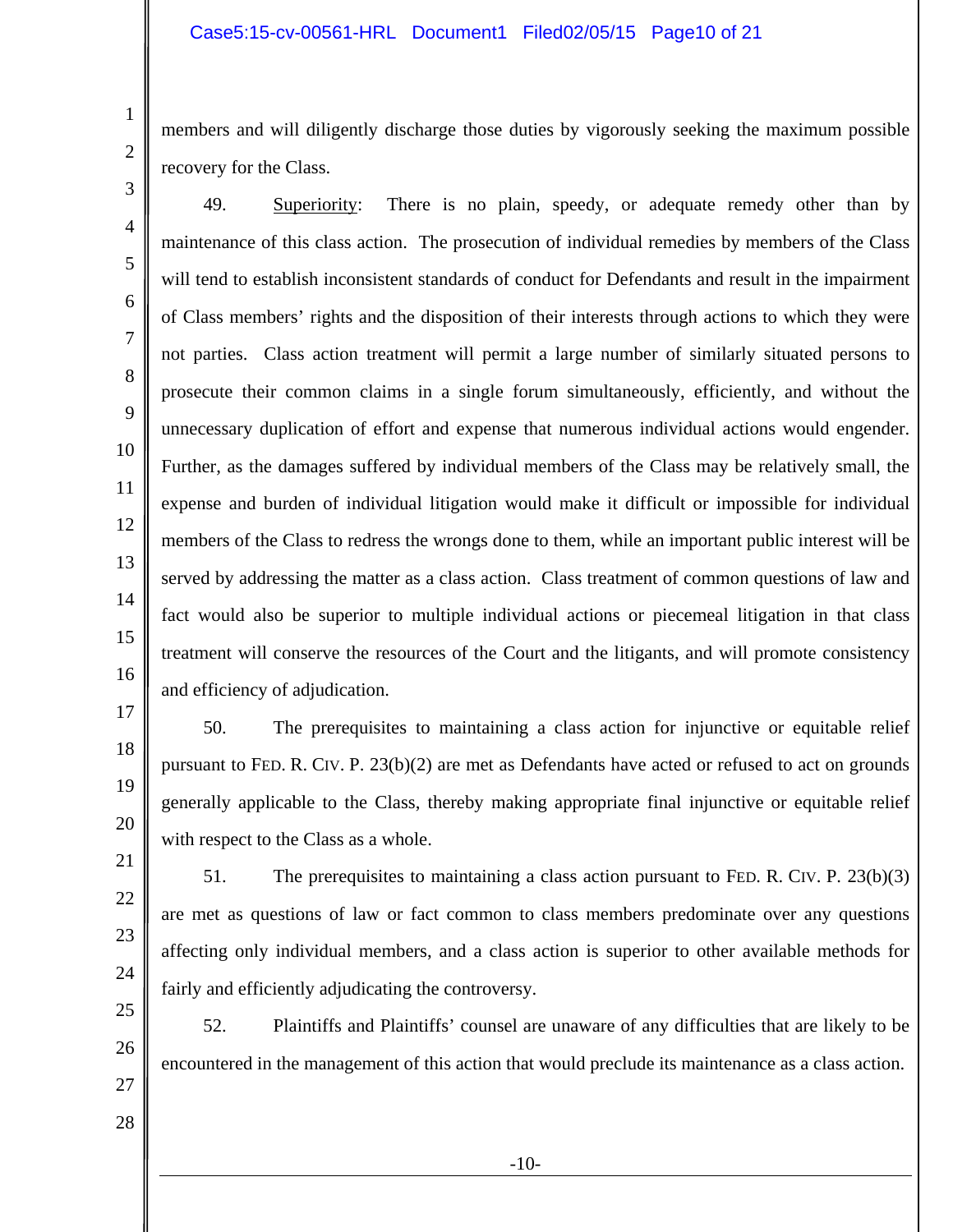members and will diligently discharge those duties by vigorously seeking the maximum possible recovery for the Class.

7

8

9

11

12

13

14

15

17

18

19

20

1

2

10 16 49. Superiority: There is no plain, speedy, or adequate remedy other than by maintenance of this class action. The prosecution of individual remedies by members of the Class will tend to establish inconsistent standards of conduct for Defendants and result in the impairment of Class members' rights and the disposition of their interests through actions to which they were not parties. Class action treatment will permit a large number of similarly situated persons to prosecute their common claims in a single forum simultaneously, efficiently, and without the unnecessary duplication of effort and expense that numerous individual actions would engender. Further, as the damages suffered by individual members of the Class may be relatively small, the expense and burden of individual litigation would make it difficult or impossible for individual members of the Class to redress the wrongs done to them, while an important public interest will be served by addressing the matter as a class action. Class treatment of common questions of law and fact would also be superior to multiple individual actions or piecemeal litigation in that class treatment will conserve the resources of the Court and the litigants, and will promote consistency and efficiency of adjudication.

50. The prerequisites to maintaining a class action for injunctive or equitable relief pursuant to FED. R. CIV. P. 23(b)(2) are met as Defendants have acted or refused to act on grounds generally applicable to the Class, thereby making appropriate final injunctive or equitable relief with respect to the Class as a whole.

21 22

23

24

51. The prerequisites to maintaining a class action pursuant to FED. R. CIV. P. 23(b)(3) are met as questions of law or fact common to class members predominate over any questions affecting only individual members, and a class action is superior to other available methods for fairly and efficiently adjudicating the controversy.

25 26

52. Plaintiffs and Plaintiffs' counsel are unaware of any difficulties that are likely to be encountered in the management of this action that would preclude its maintenance as a class action.

27 28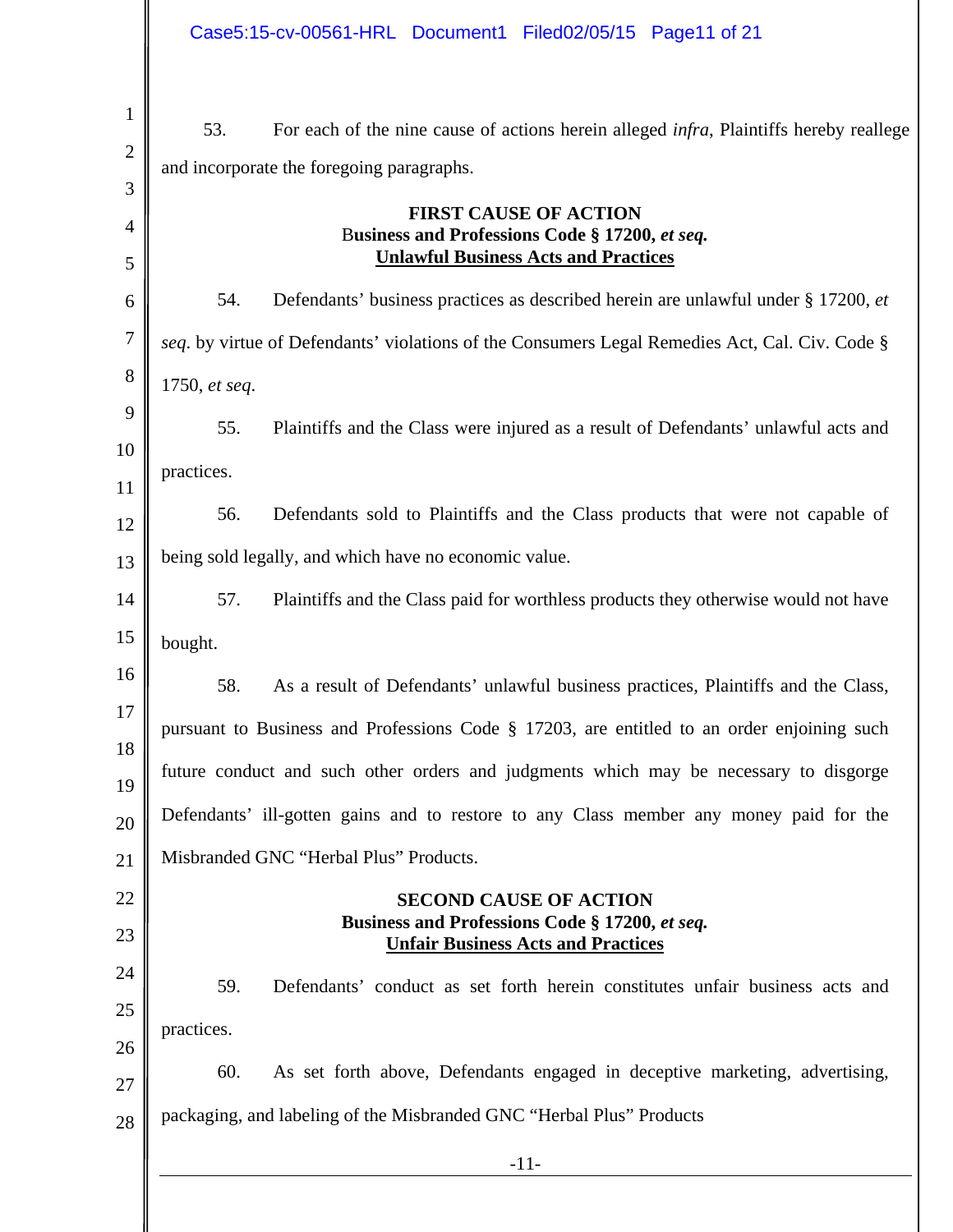| Case5:15-cv-00561-HRL Document1 Filed02/05/15 Page11 of 21                                                                                         |
|----------------------------------------------------------------------------------------------------------------------------------------------------|
| 53.<br>For each of the nine cause of actions herein alleged <i>infra</i> , Plaintiffs hereby reallege<br>and incorporate the foregoing paragraphs. |
| <b>FIRST CAUSE OF ACTION</b><br>Business and Professions Code § 17200, et seq.<br><b>Unlawful Business Acts and Practices</b>                      |
| 54.<br>Defendants' business practices as described herein are unlawful under § 17200, et                                                           |
| seq. by virtue of Defendants' violations of the Consumers Legal Remedies Act, Cal. Civ. Code §                                                     |
| 1750, et seq.                                                                                                                                      |
| 55.<br>Plaintiffs and the Class were injured as a result of Defendants' unlawful acts and                                                          |
| practices.                                                                                                                                         |
| 56.<br>Defendants sold to Plaintiffs and the Class products that were not capable of                                                               |
| being sold legally, and which have no economic value.                                                                                              |
| 57.<br>Plaintiffs and the Class paid for worthless products they otherwise would not have                                                          |
| bought.                                                                                                                                            |
| 58.<br>As a result of Defendants' unlawful business practices, Plaintiffs and the Class,                                                           |
| pursuant to Business and Professions Code § 17203, are entitled to an order enjoining such                                                         |
| future conduct and such other orders and judgments which may be necessary to disgorge                                                              |
| Defendants' ill-gotten gains and to restore to any Class member any money paid for the                                                             |
| Misbranded GNC "Herbal Plus" Products.                                                                                                             |
| <b>SECOND CAUSE OF ACTION</b><br>Business and Professions Code § 17200, et seq.<br><b>Unfair Business Acts and Practices</b>                       |
| 59.<br>Defendants' conduct as set forth herein constitutes unfair business acts and                                                                |
| practices.                                                                                                                                         |
| 60.<br>As set forth above, Defendants engaged in deceptive marketing, advertising,                                                                 |
| packaging, and labeling of the Misbranded GNC "Herbal Plus" Products                                                                               |
| $-11-$                                                                                                                                             |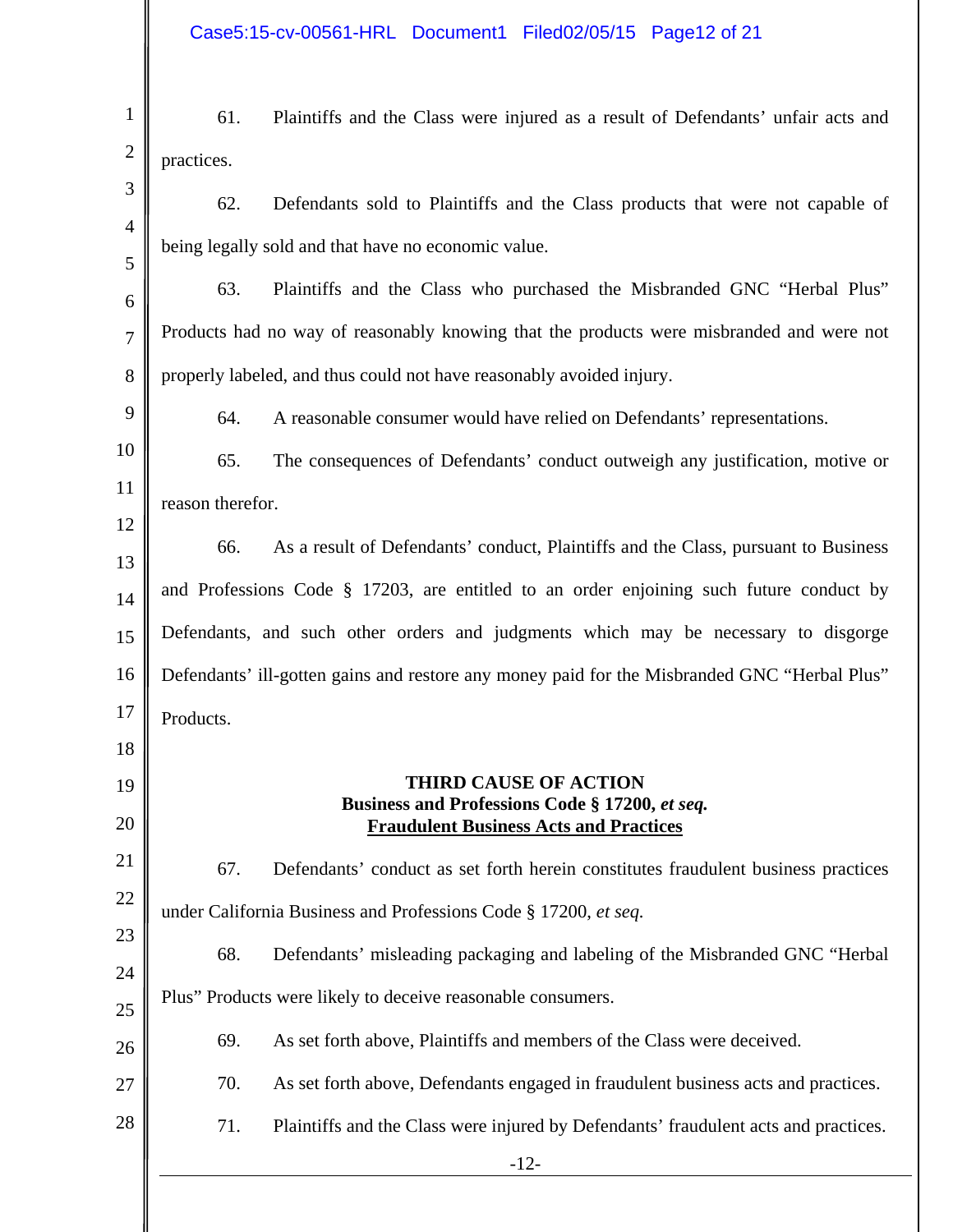| 61.                                                                                | Plaintiffs and the Class were injured as a result of Defendants' unfair acts and                                                |
|------------------------------------------------------------------------------------|---------------------------------------------------------------------------------------------------------------------------------|
| practices.                                                                         |                                                                                                                                 |
| 62.                                                                                | Defendants sold to Plaintiffs and the Class products that were not capable of                                                   |
|                                                                                    | being legally sold and that have no economic value.                                                                             |
| 63.                                                                                | Plaintiffs and the Class who purchased the Misbranded GNC "Herbal Plus"                                                         |
|                                                                                    | Products had no way of reasonably knowing that the products were misbranded and were not                                        |
|                                                                                    | properly labeled, and thus could not have reasonably avoided injury.                                                            |
| 64.                                                                                | A reasonable consumer would have relied on Defendants' representations.                                                         |
| 65.                                                                                | The consequences of Defendants' conduct outweigh any justification, motive or                                                   |
| reason therefor.                                                                   |                                                                                                                                 |
| 66.                                                                                | As a result of Defendants' conduct, Plaintiffs and the Class, pursuant to Business                                              |
|                                                                                    | and Professions Code $\S$ 17203, are entitled to an order enjoining such future conduct by                                      |
|                                                                                    |                                                                                                                                 |
| Defendants, and such other orders and judgments which may be necessary to disgorge |                                                                                                                                 |
|                                                                                    | Defendants' ill-gotten gains and restore any money paid for the Misbranded GNC "Herbal Plus"                                    |
| Products.                                                                          |                                                                                                                                 |
|                                                                                    | <b>THIRD CAUSE OF ACTION</b><br>Business and Professions Code § 17200, et seq.<br><b>Fraudulent Business Acts and Practices</b> |
| 67.                                                                                | Defendants' conduct as set forth herein constitutes fraudulent business practices                                               |
|                                                                                    | under California Business and Professions Code § 17200, et seq.                                                                 |
| 68.                                                                                | Defendants' misleading packaging and labeling of the Misbranded GNC "Herbal"                                                    |
|                                                                                    | Plus" Products were likely to deceive reasonable consumers.                                                                     |
| 69.                                                                                | As set forth above, Plaintiffs and members of the Class were deceived.                                                          |
| 70.                                                                                | As set forth above, Defendants engaged in fraudulent business acts and practices.                                               |
| 71.                                                                                | Plaintiffs and the Class were injured by Defendants' fraudulent acts and practices.                                             |
|                                                                                    | $-12-$                                                                                                                          |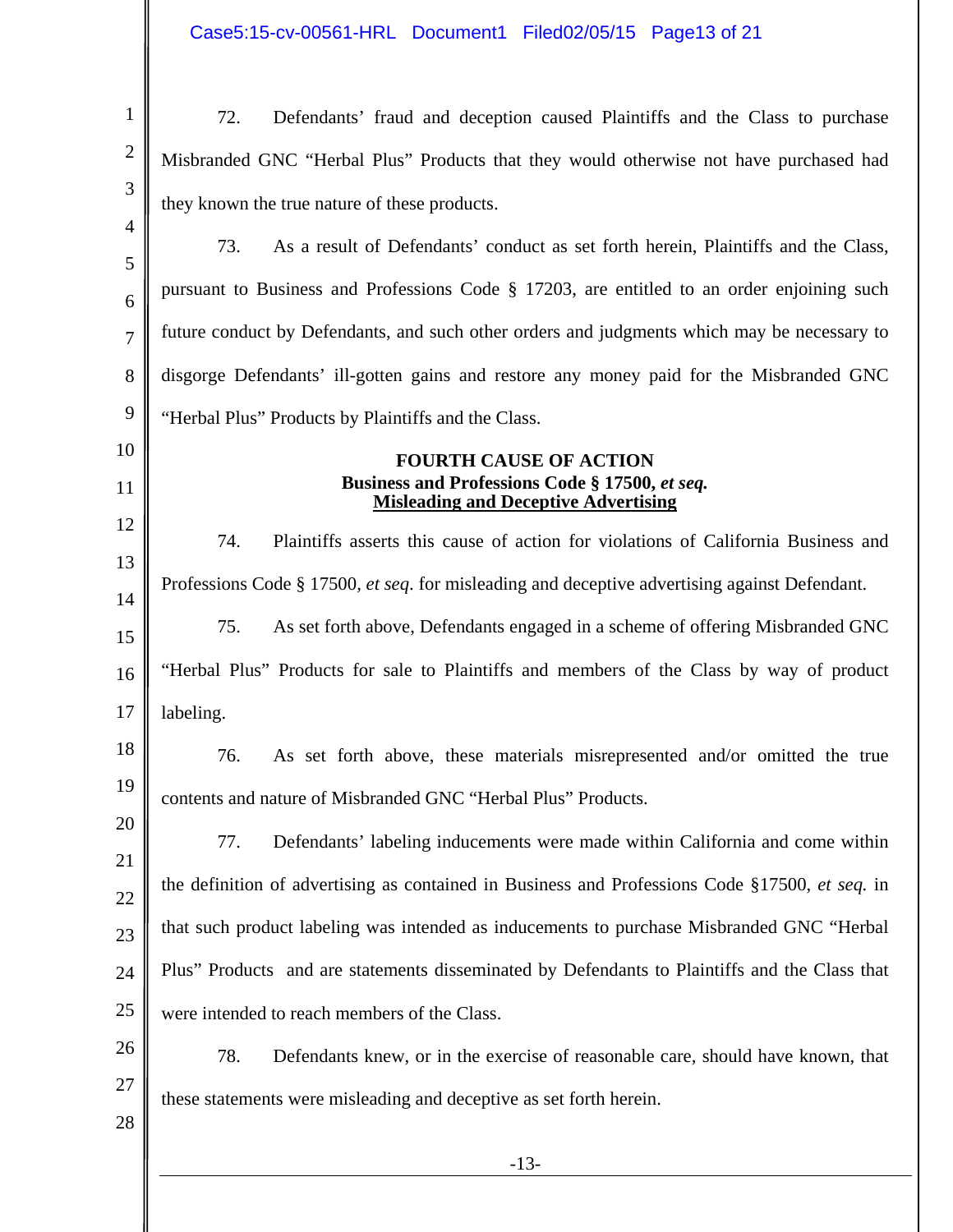Case5:15-cv-00561-HRL Document1 Filed02/05/15 Page13 of 21

| $\mathbf{1}$   | Defendants' fraud and deception caused Plaintiffs and the Class to purchase<br>72.                   |
|----------------|------------------------------------------------------------------------------------------------------|
| $\mathbf{2}$   | Misbranded GNC "Herbal Plus" Products that they would otherwise not have purchased had               |
| 3              | they known the true nature of these products.                                                        |
| $\overline{4}$ | 73.<br>As a result of Defendants' conduct as set forth herein, Plaintiffs and the Class,             |
| 5<br>6         | pursuant to Business and Professions Code § 17203, are entitled to an order enjoining such           |
| $\overline{7}$ | future conduct by Defendants, and such other orders and judgments which may be necessary to          |
| 8              | disgorge Defendants' ill-gotten gains and restore any money paid for the Misbranded GNC              |
| 9              | "Herbal Plus" Products by Plaintiffs and the Class.                                                  |
| 10             | <b>FOURTH CAUSE OF ACTION</b>                                                                        |
| 11             | Business and Professions Code § 17500, et seq.<br><b>Misleading and Deceptive Advertising</b>        |
| 12             | 74.<br>Plaintiffs asserts this cause of action for violations of California Business and             |
| 13             | Professions Code § 17500, <i>et seq.</i> for misleading and deceptive advertising against Defendant. |
| 14<br>15       | As set forth above, Defendants engaged in a scheme of offering Misbranded GNC<br>75.                 |
| 16             | "Herbal Plus" Products for sale to Plaintiffs and members of the Class by way of product             |
| 17             | labeling.                                                                                            |
| 18             | 76.<br>As set forth above, these materials misrepresented and/or omitted the true                    |
| 19             | contents and nature of Misbranded GNC "Herbal Plus" Products.                                        |
| 20             | Defendants' labeling inducements were made within California and come within<br>77.                  |
| 21             | the definition of advertising as contained in Business and Professions Code §17500, et seq. in       |
| 22<br>23       | that such product labeling was intended as inducements to purchase Misbranded GNC "Herbal            |
| 24             | Plus" Products and are statements disseminated by Defendants to Plaintiffs and the Class that        |
| 25             | were intended to reach members of the Class.                                                         |
| 26             | 78.<br>Defendants knew, or in the exercise of reasonable care, should have known, that               |
| 27             | these statements were misleading and deceptive as set forth herein.                                  |
| 28             |                                                                                                      |
|                | $-13-$                                                                                               |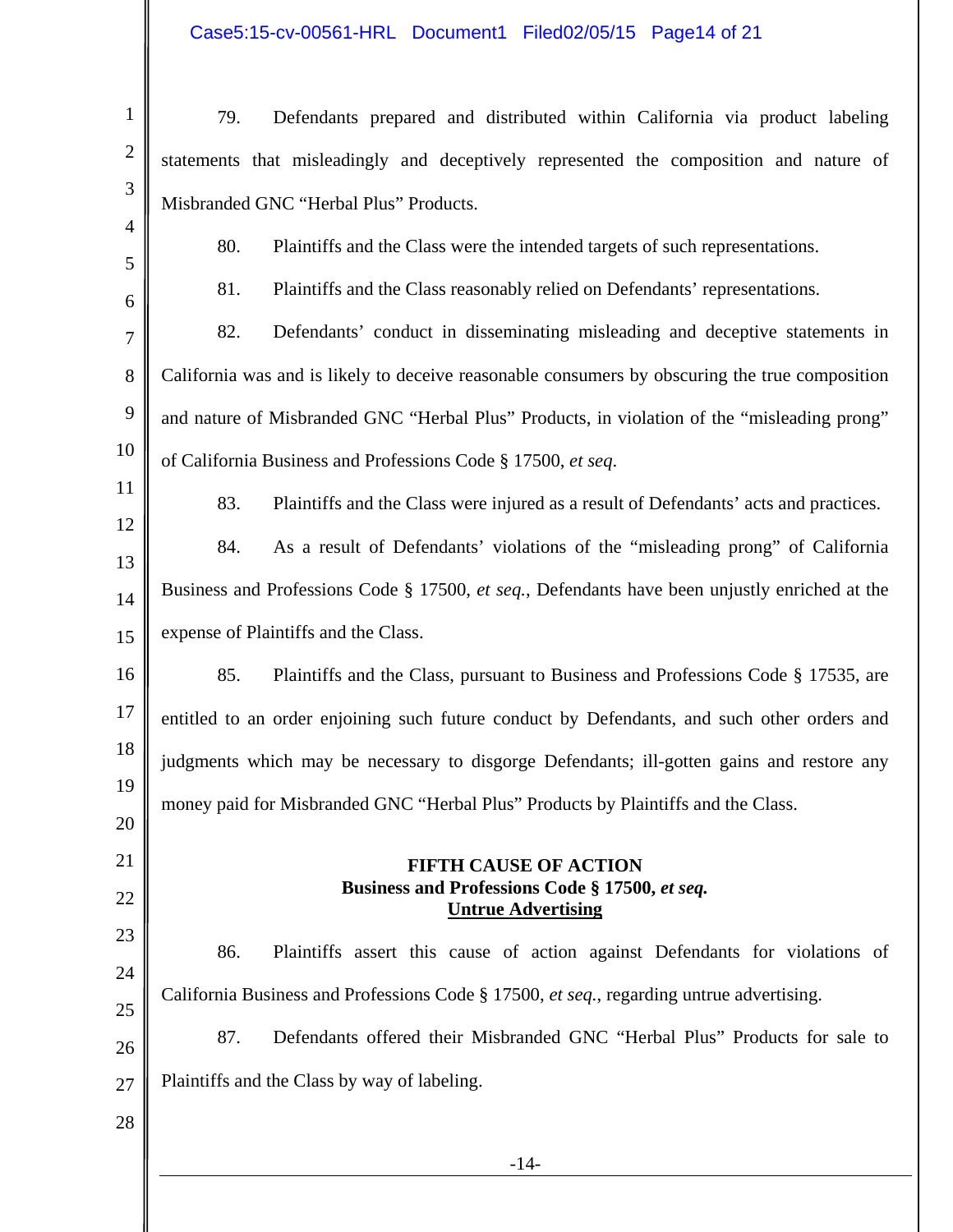# Case5:15-cv-00561-HRL Document1 Filed02/05/15 Page14 of 21

| $\mathbf{1}$   | 79.                                                                               | Defendants prepared and distributed within California via product labeling                     |
|----------------|-----------------------------------------------------------------------------------|------------------------------------------------------------------------------------------------|
| $\mathbf{2}$   |                                                                                   | statements that misleadingly and deceptively represented the composition and nature of         |
| 3              |                                                                                   |                                                                                                |
| $\overline{4}$ |                                                                                   | Misbranded GNC "Herbal Plus" Products.                                                         |
| 5              | 80.                                                                               | Plaintiffs and the Class were the intended targets of such representations.                    |
| 6              | 81.                                                                               | Plaintiffs and the Class reasonably relied on Defendants' representations.                     |
| 7              | 82.                                                                               | Defendants' conduct in disseminating misleading and deceptive statements in                    |
| 8              |                                                                                   | California was and is likely to deceive reasonable consumers by obscuring the true composition |
| 9              |                                                                                   | and nature of Misbranded GNC "Herbal Plus" Products, in violation of the "misleading prong"    |
| 10             |                                                                                   | of California Business and Professions Code § 17500, et seq.                                   |
| 11             | 83.                                                                               | Plaintiffs and the Class were injured as a result of Defendants' acts and practices.           |
| 12             | 84.                                                                               | As a result of Defendants' violations of the "misleading prong" of California                  |
| 13<br>14       |                                                                                   | Business and Professions Code § 17500, et seq., Defendants have been unjustly enriched at the  |
| 15             | expense of Plaintiffs and the Class.                                              |                                                                                                |
|                |                                                                                   |                                                                                                |
| 16             | 85.                                                                               | Plaintiffs and the Class, pursuant to Business and Professions Code § 17535, are               |
| 17             |                                                                                   | entitled to an order enjoining such future conduct by Defendants, and such other orders and    |
| 18             |                                                                                   | judgments which may be necessary to disgorge Defendants; ill-gotten gains and restore any      |
| 19<br>20       | money paid for Misbranded GNC "Herbal Plus" Products by Plaintiffs and the Class. |                                                                                                |
| 21             |                                                                                   |                                                                                                |
| 22             | <b>FIFTH CAUSE OF ACTION</b><br>Business and Professions Code § 17500, et seq.    |                                                                                                |
|                |                                                                                   | <b>Untrue Advertising</b>                                                                      |
| 23<br>24       | 86.                                                                               | Plaintiffs assert this cause of action against Defendants for violations of                    |
| 25             |                                                                                   | California Business and Professions Code § 17500, et seq., regarding untrue advertising.       |
| 26             | 87.                                                                               | Defendants offered their Misbranded GNC "Herbal Plus" Products for sale to                     |
| 27             |                                                                                   | Plaintiffs and the Class by way of labeling.                                                   |
| 28             |                                                                                   |                                                                                                |
|                |                                                                                   | $-14-$                                                                                         |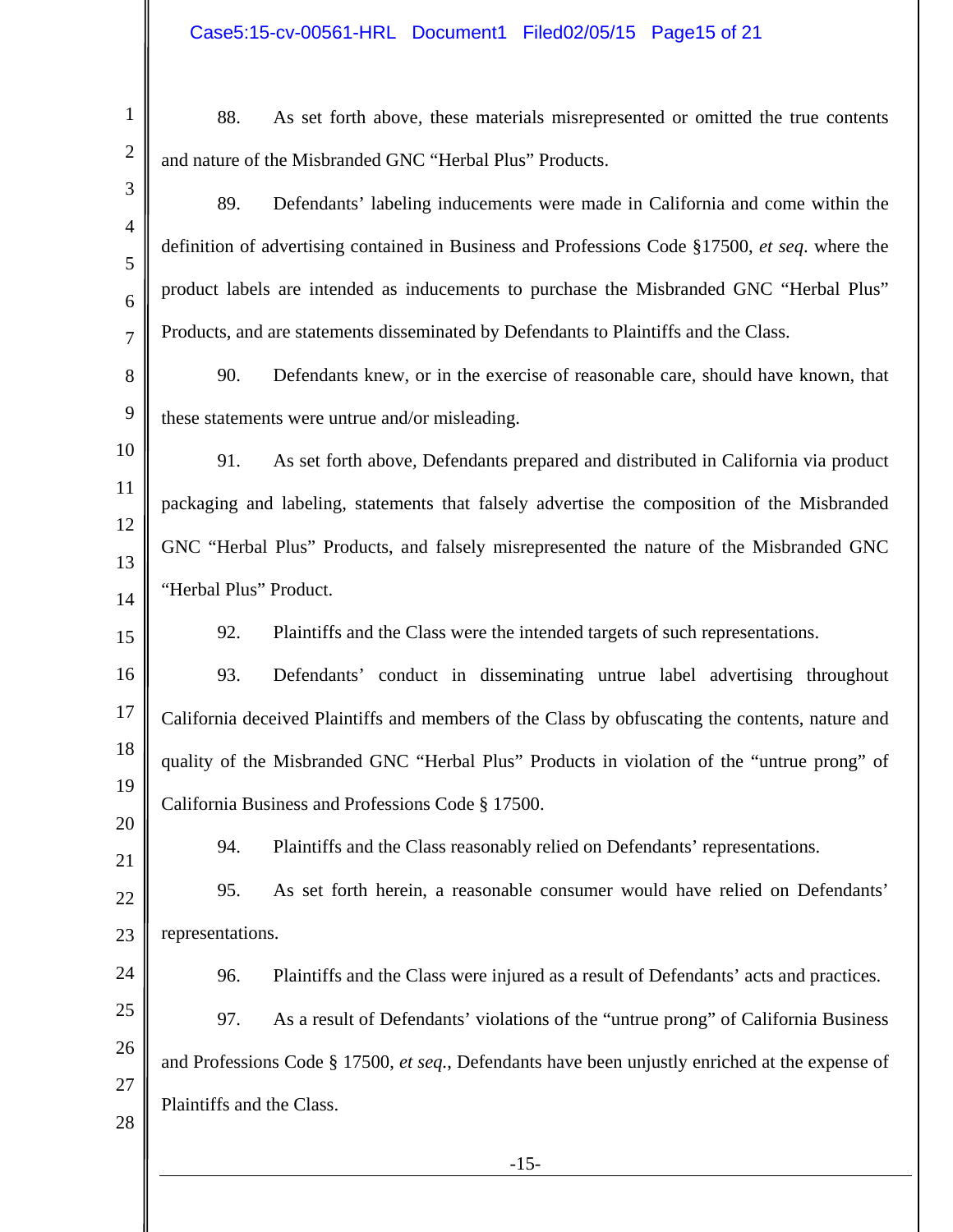| $\mathbf{1}$        | 88.                                                                                             | As set forth above, these materials misrepresented or omitted the true contents                 |
|---------------------|-------------------------------------------------------------------------------------------------|-------------------------------------------------------------------------------------------------|
| $\mathbf{2}$        |                                                                                                 | and nature of the Misbranded GNC "Herbal Plus" Products.                                        |
| 3                   | 89.                                                                                             | Defendants' labeling inducements were made in California and come within the                    |
| $\overline{4}$<br>5 |                                                                                                 | definition of advertising contained in Business and Professions Code §17500, et seq. where the  |
| 6                   |                                                                                                 | product labels are intended as inducements to purchase the Misbranded GNC "Herbal Plus"         |
| $\overline{7}$      |                                                                                                 | Products, and are statements disseminated by Defendants to Plaintiffs and the Class.            |
| 8                   | 90.                                                                                             | Defendants knew, or in the exercise of reasonable care, should have known, that                 |
| 9                   |                                                                                                 | these statements were untrue and/or misleading.                                                 |
| 10                  | 91.                                                                                             | As set forth above, Defendants prepared and distributed in California via product               |
| 11                  |                                                                                                 | packaging and labeling, statements that falsely advertise the composition of the Misbranded     |
| 12<br>13            |                                                                                                 | GNC "Herbal Plus" Products, and falsely misrepresented the nature of the Misbranded GNC         |
| 14                  | "Herbal Plus" Product.                                                                          |                                                                                                 |
| 15                  | 92.                                                                                             | Plaintiffs and the Class were the intended targets of such representations.                     |
| 16                  | 93.                                                                                             | Defendants' conduct in disseminating untrue label advertising throughout                        |
| 17                  |                                                                                                 | California deceived Plaintiffs and members of the Class by obfuscating the contents, nature and |
| 18                  |                                                                                                 | quality of the Misbranded GNC "Herbal Plus" Products in violation of the "untrue prong" of      |
| 19<br>20            |                                                                                                 | California Business and Professions Code § 17500.                                               |
| 21                  | 94.                                                                                             | Plaintiffs and the Class reasonably relied on Defendants' representations.                      |
| 22                  | 95.                                                                                             | As set forth herein, a reasonable consumer would have relied on Defendants'                     |
| 23                  | representations.                                                                                |                                                                                                 |
| 24                  | 96.                                                                                             | Plaintiffs and the Class were injured as a result of Defendants' acts and practices.            |
| 25                  | 97.                                                                                             | As a result of Defendants' violations of the "untrue prong" of California Business              |
| 26                  | and Professions Code § 17500, et seq., Defendants have been unjustly enriched at the expense of |                                                                                                 |
| 27<br>28            | Plaintiffs and the Class.                                                                       |                                                                                                 |
|                     |                                                                                                 | $-15-$                                                                                          |
|                     |                                                                                                 |                                                                                                 |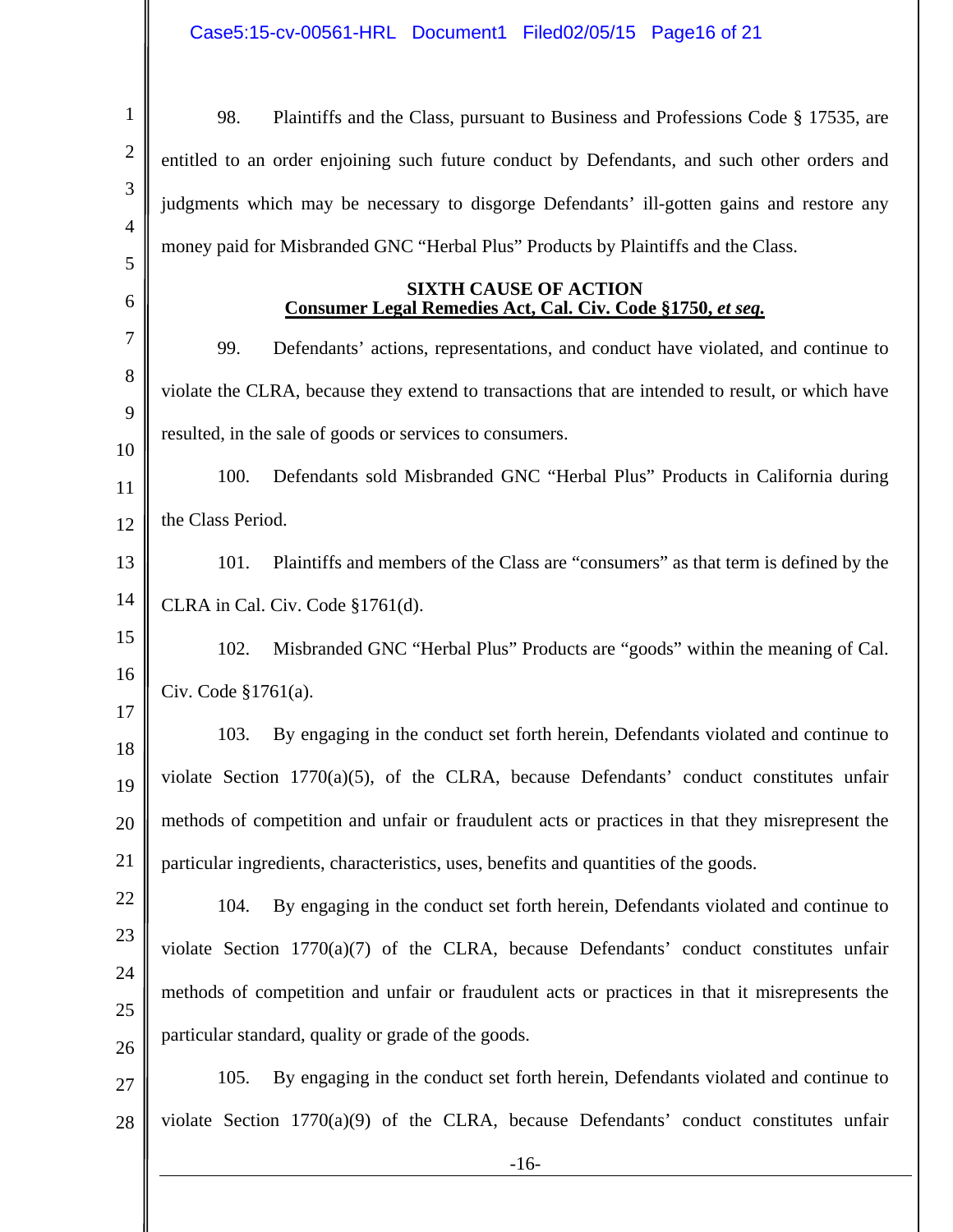| $\mathbf{1}$   | 98.<br>Plaintiffs and the Class, pursuant to Business and Professions Code § 17535, are          |
|----------------|--------------------------------------------------------------------------------------------------|
| $\overline{2}$ | entitled to an order enjoining such future conduct by Defendants, and such other orders and      |
| 3              | judgments which may be necessary to disgorge Defendants' ill-gotten gains and restore any        |
| $\overline{4}$ | money paid for Misbranded GNC "Herbal Plus" Products by Plaintiffs and the Class.                |
| 5<br>6         | <b>SIXTH CAUSE OF ACTION</b>                                                                     |
| 7              | <u>Consumer Legal Remedies Act, Cal. Civ. Code §1750, et seq.</u>                                |
| 8              | Defendants' actions, representations, and conduct have violated, and continue to<br>99.          |
| 9              | violate the CLRA, because they extend to transactions that are intended to result, or which have |
| 10             | resulted, in the sale of goods or services to consumers.                                         |
| 11             | 100.<br>Defendants sold Misbranded GNC "Herbal Plus" Products in California during               |
| 12             | the Class Period.                                                                                |
| 13             | Plaintiffs and members of the Class are "consumers" as that term is defined by the<br>101.       |
| 14             | CLRA in Cal. Civ. Code §1761(d).                                                                 |
| 15             | 102.<br>Misbranded GNC "Herbal Plus" Products are "goods" within the meaning of Cal.             |
| 16             | Civ. Code $$1761(a)$ .                                                                           |
| 17             | By engaging in the conduct set forth herein, Defendants violated and continue to<br>103.         |
| 18<br>19       | violate Section $1770(a)(5)$ , of the CLRA, because Defendants' conduct constitutes unfair       |
| 20             | methods of competition and unfair or fraudulent acts or practices in that they misrepresent the  |
| 21             | particular ingredients, characteristics, uses, benefits and quantities of the goods.             |
| 22             | By engaging in the conduct set forth herein, Defendants violated and continue to<br>104.         |
| 23             | violate Section 1770(a)(7) of the CLRA, because Defendants' conduct constitutes unfair           |
| 24             | methods of competition and unfair or fraudulent acts or practices in that it misrepresents the   |
| 25             |                                                                                                  |
| 26             | particular standard, quality or grade of the goods.                                              |
| 27             | 105.<br>By engaging in the conduct set forth herein, Defendants violated and continue to         |
| 28             | violate Section $1770(a)(9)$ of the CLRA, because Defendants' conduct constitutes unfair         |
|                | $-16-$                                                                                           |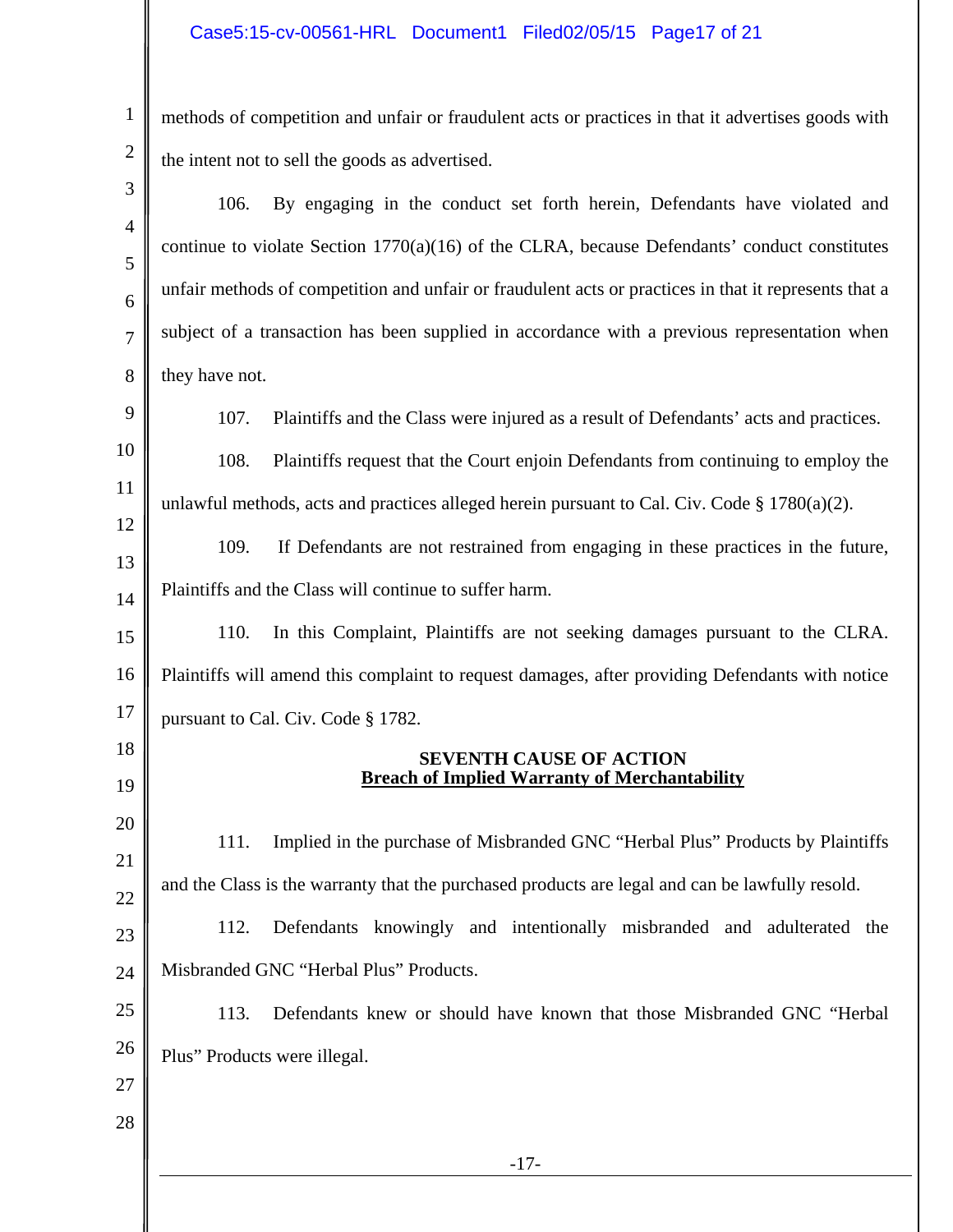1

2

methods of competition and unfair or fraudulent acts or practices in that it advertises goods with the intent not to sell the goods as advertised.

-17- 3 4 5 6 7 8 9 10 11 12 13 14 15 16 17 18 19 20 21 22 23 24 25 26 27 28 106. By engaging in the conduct set forth herein, Defendants have violated and continue to violate Section  $1770(a)(16)$  of the CLRA, because Defendants' conduct constitutes unfair methods of competition and unfair or fraudulent acts or practices in that it represents that a subject of a transaction has been supplied in accordance with a previous representation when they have not. 107. Plaintiffs and the Class were injured as a result of Defendants' acts and practices. 108. Plaintiffs request that the Court enjoin Defendants from continuing to employ the unlawful methods, acts and practices alleged herein pursuant to Cal. Civ. Code  $\S 1780(a)(2)$ . 109. If Defendants are not restrained from engaging in these practices in the future, Plaintiffs and the Class will continue to suffer harm. 110. In this Complaint, Plaintiffs are not seeking damages pursuant to the CLRA. Plaintiffs will amend this complaint to request damages, after providing Defendants with notice pursuant to Cal. Civ. Code § 1782. **SEVENTH CAUSE OF ACTION Breach of Implied Warranty of Merchantability**  111. Implied in the purchase of Misbranded GNC "Herbal Plus" Products by Plaintiffs and the Class is the warranty that the purchased products are legal and can be lawfully resold. 112. Defendants knowingly and intentionally misbranded and adulterated the Misbranded GNC "Herbal Plus" Products. 113. Defendants knew or should have known that those Misbranded GNC "Herbal Plus" Products were illegal.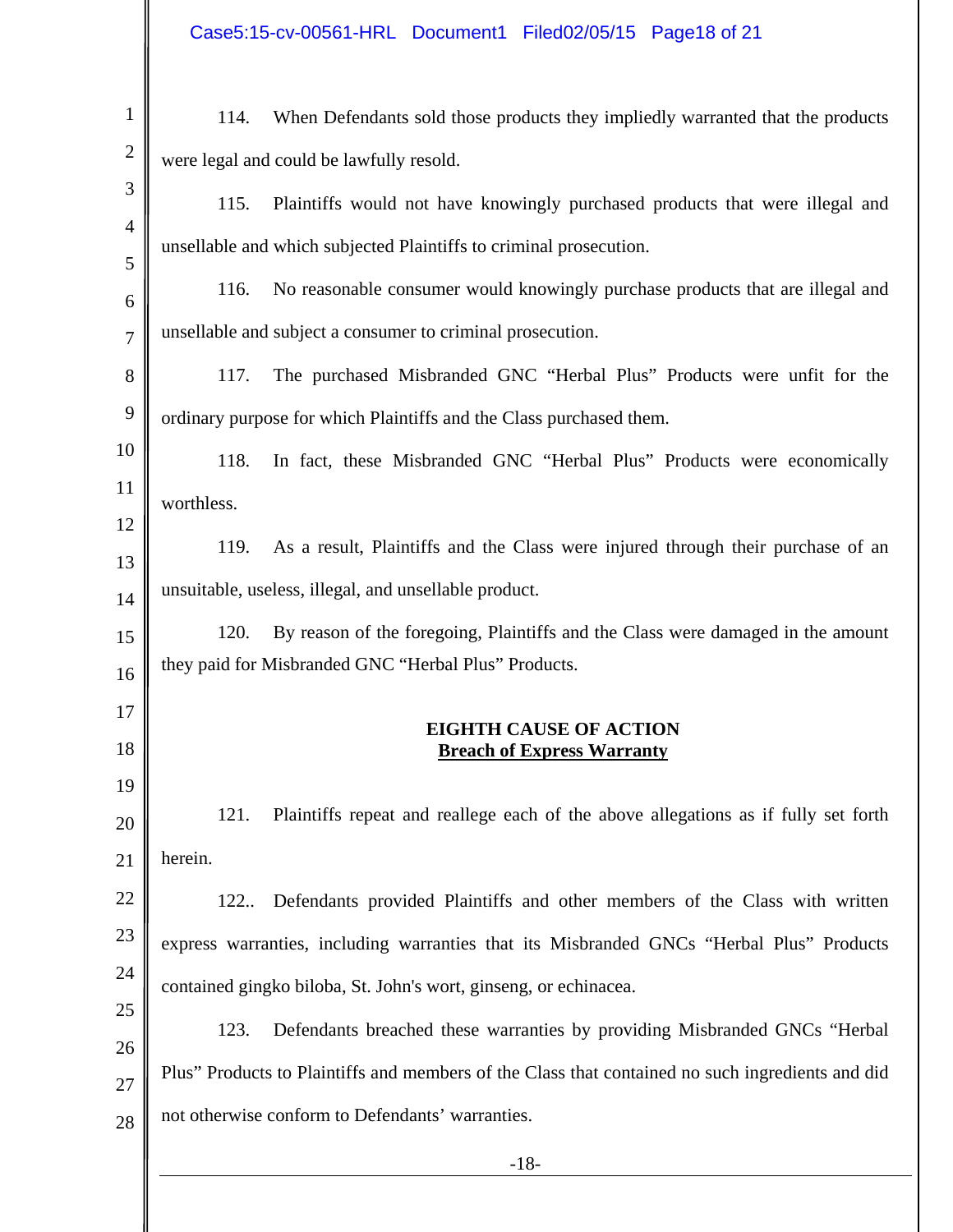| Case5:15-cv-00561-HRL Document1 Filed02/05/15 Page18 of 21 |  |  |
|------------------------------------------------------------|--|--|
|                                                            |  |  |

| $\mathbf{1}$   | When Defendants sold those products they impliedly warranted that the products<br>114.           |
|----------------|--------------------------------------------------------------------------------------------------|
| $\overline{c}$ | were legal and could be lawfully resold.                                                         |
| 3              | Plaintiffs would not have knowingly purchased products that were illegal and<br>115.             |
| $\overline{4}$ | unsellable and which subjected Plaintiffs to criminal prosecution.                               |
| 5<br>6         | 116.<br>No reasonable consumer would knowingly purchase products that are illegal and            |
| $\overline{7}$ | unsellable and subject a consumer to criminal prosecution.                                       |
| 8              | The purchased Misbranded GNC "Herbal Plus" Products were unfit for the<br>117.                   |
| 9              | ordinary purpose for which Plaintiffs and the Class purchased them.                              |
| 10             | In fact, these Misbranded GNC "Herbal Plus" Products were economically<br>118.                   |
| 11             | worthless.                                                                                       |
| 12             | As a result, Plaintiffs and the Class were injured through their purchase of an<br>119.          |
| 13             |                                                                                                  |
| 14             | unsuitable, useless, illegal, and unsellable product.                                            |
| 15             | By reason of the foregoing, Plaintiffs and the Class were damaged in the amount<br>120.          |
| 16             | they paid for Misbranded GNC "Herbal Plus" Products.                                             |
| 17             | <b>EIGHTH CAUSE OF ACTION</b>                                                                    |
| 18             | <b>Breach of Express Warranty</b>                                                                |
| 19             |                                                                                                  |
| 20             | Plaintiffs repeat and reallege each of the above allegations as if fully set forth<br>121.       |
| 21             | herein.                                                                                          |
| 22             | Defendants provided Plaintiffs and other members of the Class with written<br>122                |
| 23             | express warranties, including warranties that its Misbranded GNCs "Herbal Plus" Products         |
| 24             | contained gingko biloba, St. John's wort, ginseng, or echinacea.                                 |
| 25             | 123.<br>Defendants breached these warranties by providing Misbranded GNCs "Herbal                |
| 26             | Plus" Products to Plaintiffs and members of the Class that contained no such ingredients and did |
| 27<br>28       | not otherwise conform to Defendants' warranties.                                                 |
|                | $-18-$                                                                                           |
|                |                                                                                                  |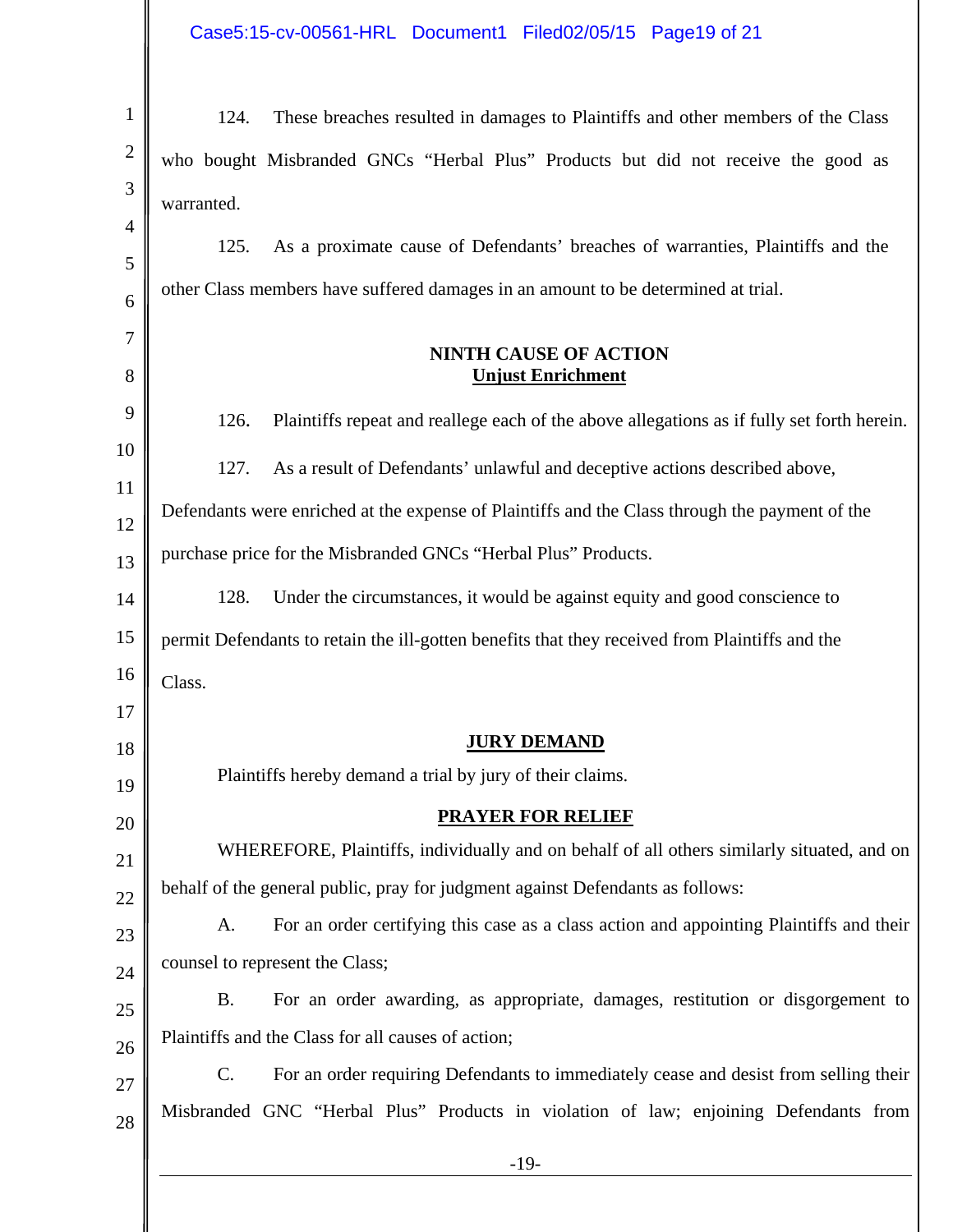| $\mathbf{1}$   | These breaches resulted in damages to Plaintiffs and other members of the Class<br>124.                |
|----------------|--------------------------------------------------------------------------------------------------------|
| $\overline{2}$ | who bought Misbranded GNCs "Herbal Plus" Products but did not receive the good as                      |
| 3              | warranted.                                                                                             |
| $\overline{4}$ | As a proximate cause of Defendants' breaches of warranties, Plaintiffs and the<br>125.                 |
| 5              | other Class members have suffered damages in an amount to be determined at trial.                      |
| 6              |                                                                                                        |
| 7<br>8         | <b>NINTH CAUSE OF ACTION</b><br><b>Unjust Enrichment</b>                                               |
|                |                                                                                                        |
| 9              | 126.<br>Plaintiffs repeat and reallege each of the above allegations as if fully set forth herein.     |
| 10<br>11       | 127.<br>As a result of Defendants' unlawful and deceptive actions described above,                     |
| 12             | Defendants were enriched at the expense of Plaintiffs and the Class through the payment of the         |
| 13             | purchase price for the Misbranded GNCs "Herbal Plus" Products.                                         |
| 14             | 128.<br>Under the circumstances, it would be against equity and good conscience to                     |
| 15             | permit Defendants to retain the ill-gotten benefits that they received from Plaintiffs and the         |
| 16             | Class.                                                                                                 |
| 17             |                                                                                                        |
| 18             | <b>JURY DEMAND</b>                                                                                     |
| 19             | Plaintiffs hereby demand a trial by jury of their claims.                                              |
| 20             | <b>PRAYER FOR RELIEF</b>                                                                               |
| 21             | WHEREFORE, Plaintiffs, individually and on behalf of all others similarly situated, and on             |
| 22             | behalf of the general public, pray for judgment against Defendants as follows:                         |
| 23             | For an order certifying this case as a class action and appointing Plaintiffs and their<br>A.          |
| 24             | counsel to represent the Class;                                                                        |
| 25             | For an order awarding, as appropriate, damages, restitution or disgorgement to<br><b>B.</b>            |
| 26             | Plaintiffs and the Class for all causes of action;                                                     |
| 27             | For an order requiring Defendants to immediately cease and desist from selling their<br>$\mathsf{C}$ . |
| 28             | Misbranded GNC "Herbal Plus" Products in violation of law; enjoining Defendants from                   |
|                | $-19-$                                                                                                 |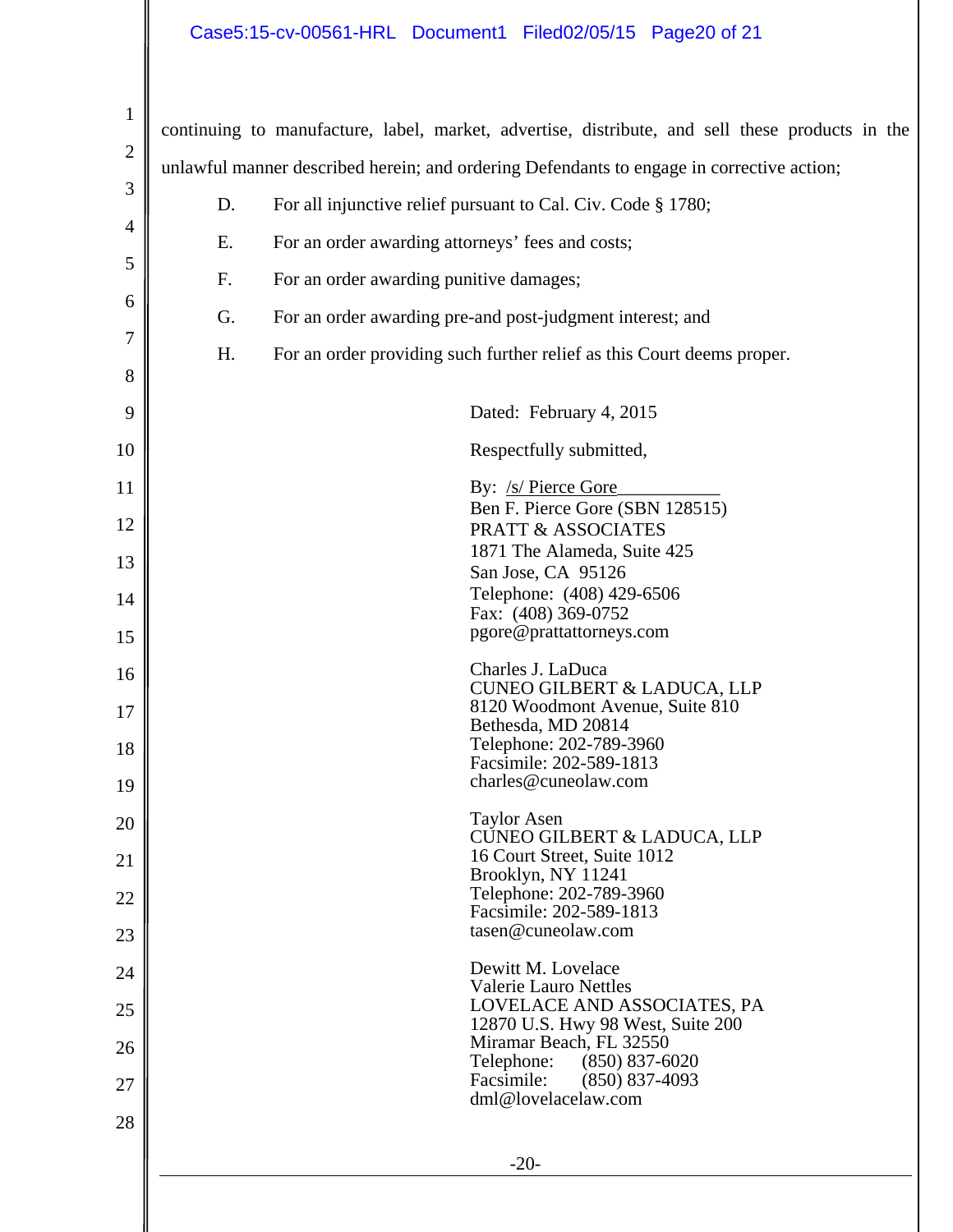# Case5:15-cv-00561-HRL Document1 Filed02/05/15 Page20 of 21

| $\mathbf{1}$ |                                                                                           |                                                                                                 |  |  |
|--------------|-------------------------------------------------------------------------------------------|-------------------------------------------------------------------------------------------------|--|--|
| $\mathbf{2}$ |                                                                                           | continuing to manufacture, label, market, advertise, distribute, and sell these products in the |  |  |
| 3            | unlawful manner described herein; and ordering Defendants to engage in corrective action; |                                                                                                 |  |  |
|              | D.                                                                                        | For all injunctive relief pursuant to Cal. Civ. Code § 1780;                                    |  |  |
| 4            | Ε.                                                                                        | For an order awarding attorneys' fees and costs;                                                |  |  |
| 5            | F.                                                                                        | For an order awarding punitive damages;                                                         |  |  |
| 6            | G.                                                                                        | For an order awarding pre-and post-judgment interest; and                                       |  |  |
| 7            | Η.                                                                                        | For an order providing such further relief as this Court deems proper.                          |  |  |
| 8            |                                                                                           |                                                                                                 |  |  |
| 9            |                                                                                           | Dated: February 4, 2015                                                                         |  |  |
| 10           |                                                                                           | Respectfully submitted,                                                                         |  |  |
| 11           |                                                                                           | By: /s/ Pierce Gore<br>Ben F. Pierce Gore (SBN 128515)                                          |  |  |
| 12           |                                                                                           | <b>PRATT &amp; ASSOCIATES</b>                                                                   |  |  |
| 13           |                                                                                           | 1871 The Alameda, Suite 425<br>San Jose, CA 95126                                               |  |  |
| 14           |                                                                                           | Telephone: (408) 429-6506<br>Fax: (408) 369-0752                                                |  |  |
| 15           |                                                                                           | pgore@prattattorneys.com                                                                        |  |  |
| 16           |                                                                                           | Charles J. LaDuca<br><b>CUNEO GILBERT &amp; LADUCA, LLP</b>                                     |  |  |
| 17           |                                                                                           | 8120 Woodmont Avenue, Suite 810                                                                 |  |  |
| 18           |                                                                                           | Bethesda, MD 20814<br>Telephone: 202-789-3960                                                   |  |  |
| 19           |                                                                                           | Facsimile: 202-589-1813<br>charles@cuneolaw.com                                                 |  |  |
| 20           |                                                                                           | <b>Taylor Asen</b>                                                                              |  |  |
| 21           |                                                                                           | CUNEO GILBERT & LADUCA, LLP<br>16 Court Street, Suite 1012                                      |  |  |
| 22           |                                                                                           | Brooklyn, NY 11241<br>Telephone: 202-789-3960                                                   |  |  |
|              |                                                                                           | Facsimile: 202-589-1813<br>tasen@cuneolaw.com                                                   |  |  |
| 23           |                                                                                           | Dewitt M. Lovelace                                                                              |  |  |
| 24           |                                                                                           | <b>Valerie Lauro Nettles</b><br>LOVELACE AND ASSOCIATES, PA                                     |  |  |
| 25           |                                                                                           | 12870 U.S. Hwy 98 West, Suite 200<br>Miramar Beach, FL 32550                                    |  |  |
| 26           |                                                                                           | Telephone:<br>$(850) 837 - 6020$                                                                |  |  |
| 27           |                                                                                           | Facsimile:<br>$(850) 837-4093$<br>dml@lovelacelaw.com                                           |  |  |
| 28           |                                                                                           |                                                                                                 |  |  |
|              |                                                                                           | $-20-$                                                                                          |  |  |